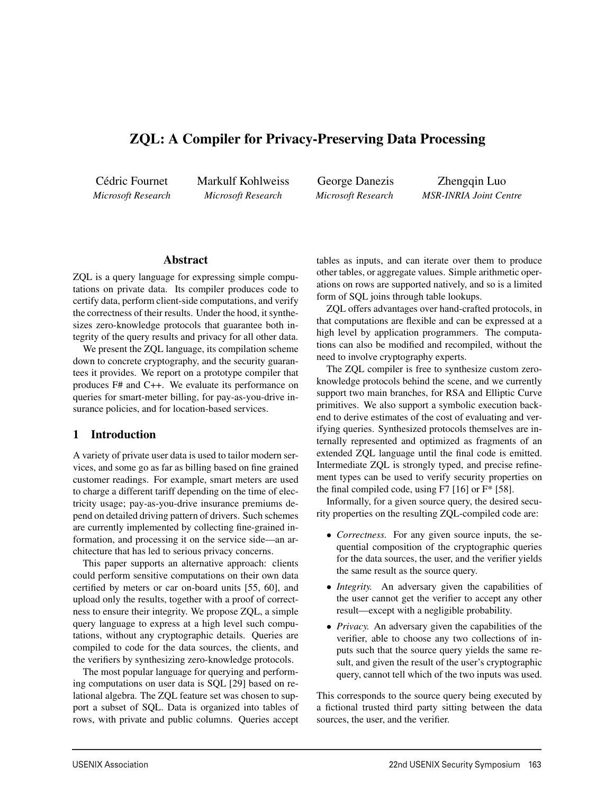# ZQL: A Compiler for Privacy-Preserving Data Processing

 $\overline{1}$ 

Cédric Fournet *Microsoft Research* Markulf Kohlweiss *Microsoft Research*

George Danezis *Microsoft Research*

Zhengqin Luo *MSR-INRIA Joint Centre*

### Abstract

ZQL is a query language for expressing simple computations on private data. Its compiler produces code to certify data, perform client-side computations, and verify the correctness of their results. Under the hood, it synthesizes zero-knowledge protocols that guarantee both integrity of the query results and privacy for all other data.

We present the ZQL language, its compilation scheme down to concrete cryptography, and the security guarantees it provides. We report on a prototype compiler that produces F# and C++. We evaluate its performance on queries for smart-meter billing, for pay-as-you-drive insurance policies, and for location-based services.

### 1 Introduction

A variety of private user data is used to tailor modern services, and some go as far as billing based on fine grained customer readings. For example, smart meters are used to charge a different tariff depending on the time of electricity usage; pay-as-you-drive insurance premiums depend on detailed driving pattern of drivers. Such schemes are currently implemented by collecting fine-grained information, and processing it on the service side—an architecture that has led to serious privacy concerns.

This paper supports an alternative approach: clients could perform sensitive computations on their own data certified by meters or car on-board units [55, 60], and upload only the results, together with a proof of correctness to ensure their integrity. We propose ZQL, a simple query language to express at a high level such computations, without any cryptographic details. Queries are compiled to code for the data sources, the clients, and the verifiers by synthesizing zero-knowledge protocols.

The most popular language for querying and performing computations on user data is SQL [29] based on relational algebra. The ZQL feature set was chosen to support a subset of SQL. Data is organized into tables of rows, with private and public columns. Queries accept

tables as inputs, and can iterate over them to produce other tables, or aggregate values. Simple arithmetic operations on rows are supported natively, and so is a limited form of SQL joins through table lookups.

ZQL offers advantages over hand-crafted protocols, in that computations are flexible and can be expressed at a high level by application programmers. The computations can also be modified and recompiled, without the need to involve cryptography experts.

The ZQL compiler is free to synthesize custom zeroknowledge protocols behind the scene, and we currently support two main branches, for RSA and Elliptic Curve primitives. We also support a symbolic execution backend to derive estimates of the cost of evaluating and verifying queries. Synthesized protocols themselves are internally represented and optimized as fragments of an extended ZQL language until the final code is emitted. Intermediate ZQL is strongly typed, and precise refinement types can be used to verify security properties on the final compiled code, using F7  $[16]$  or  $F^*$  [58].

Informally, for a given source query, the desired security properties on the resulting ZQL-compiled code are:

- *Correctness.* For any given source inputs, the sequential composition of the cryptographic queries for the data sources, the user, and the verifier yields the same result as the source query.
- *Integrity*. An adversary given the capabilities of the user cannot get the verifier to accept any other result—except with a negligible probability.
- *Privacy*. An adversary given the capabilities of the verifier, able to choose any two collections of inputs such that the source query yields the same result, and given the result of the user's cryptographic query, cannot tell which of the two inputs was used.

This corresponds to the source query being executed by a fictional trusted third party sitting between the data sources, the user, and the verifier.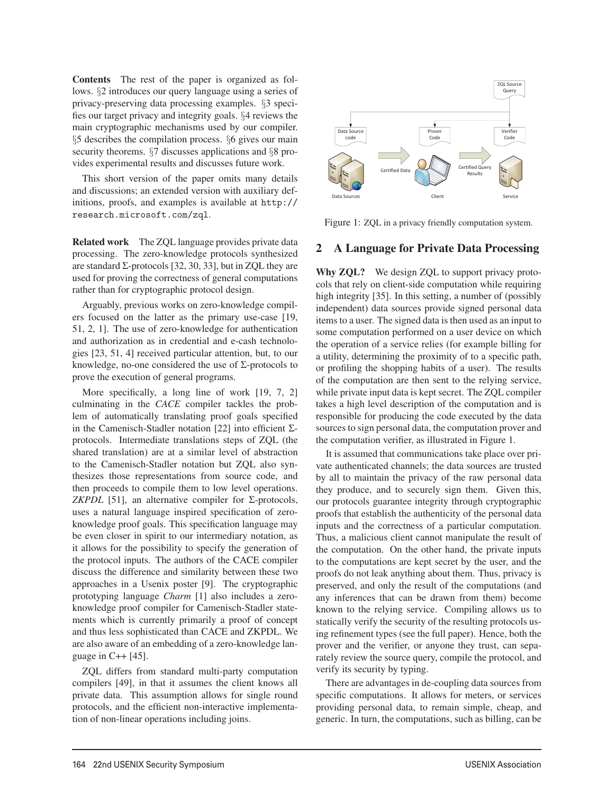Contents The rest of the paper is organized as follows. §2 introduces our query language using a series of privacy-preserving data processing examples. §3 specifies our target privacy and integrity goals. §4 reviews the main cryptographic mechanisms used by our compiler. §5 describes the compilation process. §6 gives our main security theorems. §7 discusses applications and §8 provides experimental results and discusses future work.

This short version of the paper omits many details and discussions; an extended version with auxiliary definitions, proofs, and examples is available at http:// research.microsoft.com/zql.

Related work The ZQL language provides private data processing. The zero-knowledge protocols synthesized are standard  $\Sigma$ -protocols [32, 30, 33], but in ZQL they are used for proving the correctness of general computations rather than for cryptographic protocol design.

Arguably, previous works on zero-knowledge compilers focused on the latter as the primary use-case [19, 51, 2, 1]. The use of zero-knowledge for authentication and authorization as in credential and e-cash technologies [23, 51, 4] received particular attention, but, to our knowledge, no-one considered the use of  $\Sigma$ -protocols to prove the execution of general programs.

More specifically, a long line of work [19, 7, 2] culminating in the *CACE* compiler tackles the problem of automatically translating proof goals specified in the Camenisch-Stadler notation [22] into efficient  $\Sigma$ protocols. Intermediate translations steps of ZQL (the shared translation) are at a similar level of abstraction to the Camenisch-Stadler notation but ZQL also synthesizes those representations from source code, and then proceeds to compile them to low level operations. *ZKPDL* [51], an alternative compiler for Σ-protocols, uses a natural language inspired specification of zeroknowledge proof goals. This specification language may be even closer in spirit to our intermediary notation, as it allows for the possibility to specify the generation of the protocol inputs. The authors of the CACE compiler discuss the difference and similarity between these two approaches in a Usenix poster [9]. The cryptographic prototyping language *Charm* [1] also includes a zeroknowledge proof compiler for Camenisch-Stadler statements which is currently primarily a proof of concept and thus less sophisticated than CACE and ZKPDL. We are also aware of an embedding of a zero-knowledge language in  $C++$  [45].

ZQL differs from standard multi-party computation compilers [49], in that it assumes the client knows all private data. This assumption allows for single round protocols, and the efficient non-interactive implementation of non-linear operations including joins.

2



Figure 1: ZQL in a privacy friendly computation system.

### 2 A Language for Private Data Processing

Why **ZOL?** We design **ZOL** to support privacy protocols that rely on client-side computation while requiring high integrity [35]. In this setting, a number of (possibly independent) data sources provide signed personal data items to a user. The signed data is then used as an input to some computation performed on a user device on which the operation of a service relies (for example billing for a utility, determining the proximity of to a specific path, or profiling the shopping habits of a user). The results of the computation are then sent to the relying service, while private input data is kept secret. The ZQL compiler takes a high level description of the computation and is responsible for producing the code executed by the data sources to sign personal data, the computation prover and the computation verifier, as illustrated in Figure 1.

It is assumed that communications take place over private authenticated channels; the data sources are trusted by all to maintain the privacy of the raw personal data they produce, and to securely sign them. Given this, our protocols guarantee integrity through cryptographic proofs that establish the authenticity of the personal data inputs and the correctness of a particular computation. Thus, a malicious client cannot manipulate the result of the computation. On the other hand, the private inputs to the computations are kept secret by the user, and the proofs do not leak anything about them. Thus, privacy is preserved, and only the result of the computations (and any inferences that can be drawn from them) become known to the relying service. Compiling allows us to statically verify the security of the resulting protocols using refinement types (see the full paper). Hence, both the prover and the verifier, or anyone they trust, can separately review the source query, compile the protocol, and verify its security by typing.

There are advantages in de-coupling data sources from specific computations. It allows for meters, or services providing personal data, to remain simple, cheap, and generic. In turn, the computations, such as billing, can be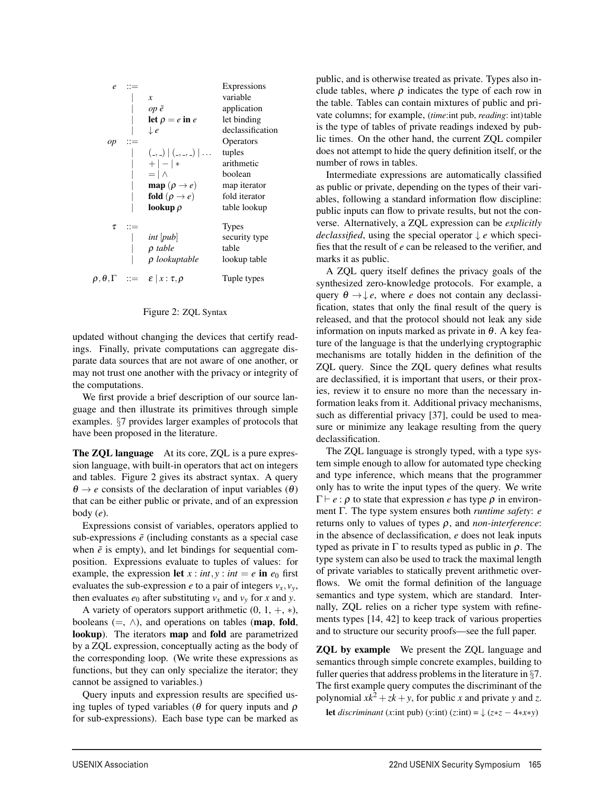

Figure 2: ZQL Syntax

updated without changing the devices that certify readings. Finally, private computations can aggregate disparate data sources that are not aware of one another, or may not trust one another with the privacy or integrity of the computations.

We first provide a brief description of our source language and then illustrate its primitives through simple examples. §7 provides larger examples of protocols that have been proposed in the literature.

The **ZQL language** At its core, **ZQL** is a pure expression language, with built-in operators that act on integers and tables. Figure 2 gives its abstract syntax. A query  $\theta \rightarrow e$  consists of the declaration of input variables ( $\theta$ ) that can be either public or private, and of an expression body (*e*).

Expressions consist of variables, operators applied to sub-expressions  $\tilde{e}$  (including constants as a special case when  $\tilde{e}$  is empty), and let bindings for sequential composition. Expressions evaluate to tuples of values: for example, the expression let  $x : int, y : int = e$  in  $e_0$  first evaluates the sub-expression *e* to a pair of integers  $v_x$ ,  $v_y$ , then evaluates  $e_0$  after substituting  $v_x$  and  $v_y$  for *x* and *y*.

A variety of operators support arithmetic  $(0, 1, +, *)$ , booleans  $(=, \wedge)$ , and operations on tables (map, fold, lookup). The iterators map and fold are parametrized by a ZQL expression, conceptually acting as the body of the corresponding loop. (We write these expressions as functions, but they can only specialize the iterator; they cannot be assigned to variables.)

Query inputs and expression results are specified using tuples of typed variables ( $\theta$  for query inputs and  $\rho$ for sub-expressions). Each base type can be marked as

3

public, and is otherwise treated as private. Types also include tables, where  $\rho$  indicates the type of each row in the table. Tables can contain mixtures of public and private columns; for example, (*time*:int pub, *reading*: int)table is the type of tables of private readings indexed by public times. On the other hand, the current ZQL compiler does not attempt to hide the query definition itself, or the number of rows in tables.

Intermediate expressions are automatically classified as public or private, depending on the types of their variables, following a standard information flow discipline: public inputs can flow to private results, but not the converse. Alternatively, a ZQL expression can be *explicitly declassified*, using the special operator  $\downarrow$  *e* which specifies that the result of *e* can be released to the verifier, and marks it as public.

A ZQL query itself defines the privacy goals of the synthesized zero-knowledge protocols. For example, a query  $\theta \rightarrow \downarrow e$ , where *e* does not contain any declassification, states that only the final result of the query is released, and that the protocol should not leak any side information on inputs marked as private in  $\theta$ . A key feature of the language is that the underlying cryptographic mechanisms are totally hidden in the definition of the ZQL query. Since the ZQL query defines what results are declassified, it is important that users, or their proxies, review it to ensure no more than the necessary information leaks from it. Additional privacy mechanisms, such as differential privacy [37], could be used to measure or minimize any leakage resulting from the query declassification.

The ZQL language is strongly typed, with a type system simple enough to allow for automated type checking and type inference, which means that the programmer only has to write the input types of the query. We write  $\Gamma \vdash e : \rho$  to state that expression *e* has type  $\rho$  in environment Γ. The type system ensures both *runtime safety*: *e* returns only to values of types ρ, and *non-interference*: in the absence of declassification, *e* does not leak inputs typed as private in  $\Gamma$  to results typed as public in  $\rho$ . The type system can also be used to track the maximal length of private variables to statically prevent arithmetic overflows. We omit the formal definition of the language semantics and type system, which are standard. Internally, ZQL relies on a richer type system with refinements types [14, 42] to keep track of various properties and to structure our security proofs—see the full paper.

ZQL by example We present the ZQL language and semantics through simple concrete examples, building to fuller queries that address problems in the literature in §7. The first example query computes the discriminant of the polynomial  $xk^2 + zk + y$ , for public *x* and private *y* and *z*.

let *discriminant* (*x*:int pub) (*y*:int) (*z*:int) =  $\downarrow$  (*z*\**z* − 4\**x*\**y*)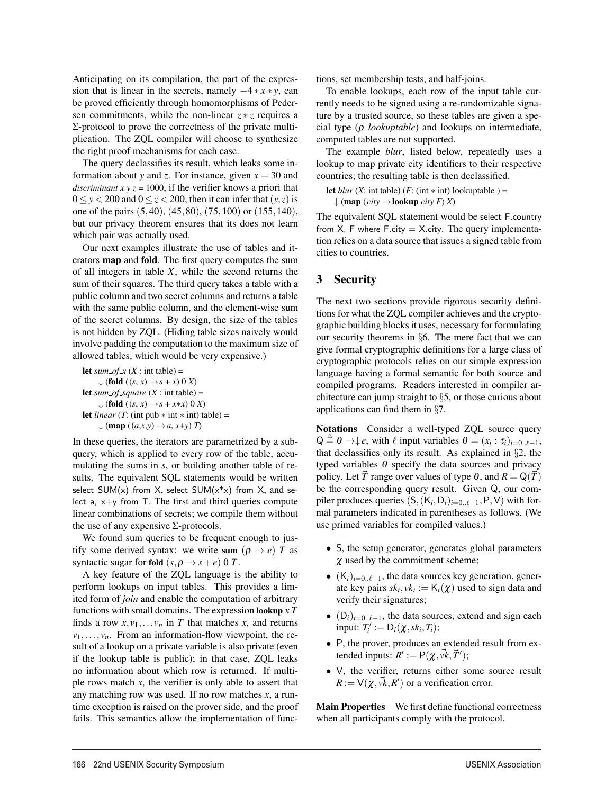Anticipating on its compilation, the part of the expression that is linear in the secrets, namely −4 ∗ *x* ∗ *y*, can be proved efficiently through homomorphisms of Pedersen commitments, while the non-linear *z* ∗ *z* requires a Σ-protocol to prove the correctness of the private multiplication. The ZQL compiler will choose to synthesize the right proof mechanisms for each case.

The query declassifies its result, which leaks some information about *y* and *z*. For instance, given  $x = 30$  and *discriminant x y z* = 1000, if the verifier knows a priori that  $0 \le y < 200$  and  $0 \le z < 200$ , then it can infer that  $(y, z)$  is one of the pairs (5,40), (45,80), (75,100) or (155,140), but our privacy theorem ensures that its does not learn which pair was actually used.

Our next examples illustrate the use of tables and iterators map and fold. The first query computes the sum of all integers in table *X*, while the second returns the sum of their squares. The third query takes a table with a public column and two secret columns and returns a table with the same public column, and the element-wise sum of the secret columns. By design, the size of the tables is not hidden by ZQL. (Hiding table sizes naively would involve padding the computation to the maximum size of allowed tables, which would be very expensive.)

let  $sum\_of\_x$  (*X* : int table) =  $\downarrow$  (fold  $((s, x) \rightarrow s + x) 0 X$ ) let *sum\_of\_square*  $(X : \text{int table}) =$ ↓ (fold  $((s, x) \rightarrow s + x * x)$  0 *X*) let *linear* (*T*: (int pub  $*$  int  $*$  int) table) =  $\downarrow$  (map  $((a, x, y) \rightarrow a, x+y)$  *T*)

In these queries, the iterators are parametrized by a subquery, which is applied to every row of the table, accumulating the sums in *s*, or building another table of results. The equivalent SQL statements would be written select SUM(x) from X, select SUM( $x$ <sup>\*</sup>x) from X, and select a,  $x+y$  from T. The first and third queries compute linear combinations of secrets; we compile them without the use of any expensive  $\Sigma$ -protocols.

We found sum queries to be frequent enough to justify some derived syntax: we write sum  $(\rho \rightarrow e)$  *T* as syntactic sugar for fold  $(s, \rho \rightarrow s + e)$  0 *T*.

A key feature of the ZQL language is the ability to perform lookups on input tables. This provides a limited form of *join* and enable the computation of arbitrary functions with small domains. The expression lookup *x T* finds a row  $x, v_1, \ldots, v_n$  in *T* that matches *x*, and returns  $v_1, \ldots, v_n$ . From an information-flow viewpoint, the result of a lookup on a private variable is also private (even if the lookup table is public); in that case, ZQL leaks no information about which row is returned. If multiple rows match  $x$ , the verifier is only able to assert that any matching row was used. If no row matches *x*, a runtime exception is raised on the prover side, and the proof fails. This semantics allow the implementation of functions, set membership tests, and half-joins.

To enable lookups, each row of the input table currently needs to be signed using a re-randomizable signature by a trusted source, so these tables are given a special type (ρ *lookuptable*) and lookups on intermediate, computed tables are not supported.

The example *blur*, listed below, repeatedly uses a lookup to map private city identifiers to their respective countries; the resulting table is then declassified.

let *blur* (*X*: int table) (*F*: (int  $*$  int) lookuptable ) =  $\downarrow$  (map (*city*  $\rightarrow$  **lookup** *city F*) *X*)

The equivalent SQL statement would be select F.country from X, F where F.city  $=$  X.city. The query implementation relies on a data source that issues a signed table from cities to countries.

### 3 Security

The next two sections provide rigorous security definitions for what the ZQL compiler achieves and the cryptographic building blocks it uses, necessary for formulating our security theorems in §6. The mere fact that we can give formal cryptographic definitions for a large class of cryptographic protocols relies on our simple expression language having a formal semantic for both source and compiled programs. Readers interested in compiler architecture can jump straight to §5, or those curious about applications can find them in §7.

Notations Consider a well-typed ZQL source query  $Q \triangleq \theta \rightarrow \downarrow e$ , with  $\ell$  input variables  $\theta = (x_i : \tau_i)_{i=0..\ell-1}$ , that declassifies only its result. As explained in §2, the typed variables  $\theta$  specify the data sources and privacy policy. Let  $\vec{T}$  range over values of type  $\theta$ , and  $R = Q(\vec{T})$ be the corresponding query result. Given Q, our compiler produces queries  $(S, (K_i, D_i)_{i=0...l-1}, P, V)$  with formal parameters indicated in parentheses as follows. (We use primed variables for compiled values.)

- S, the setup generator, generates global parameters  $\chi$  used by the commitment scheme;
- $(K_i)_{i=0,\ell-1}$ , the data sources key generation, generate key pairs  $sk_i, vk_i := K_i(\chi)$  used to sign data and verify their signatures;
- $(D_i)_{i=0..\ell-1}$ , the data sources, extend and sign each input:  $T'_i := D_i(\chi, sk_i, T_i);$
- P, the prover, produces an extended result from extended inputs:  $R' := P(\chi, \vec{vk}, \vec{T}')$ ;
- V, the verifier, returns either some source result  $R := V(\chi, \vec{vk}, R')$  or a verification error.

Main Properties We first define functional correctness when all participants comply with the protocol.

4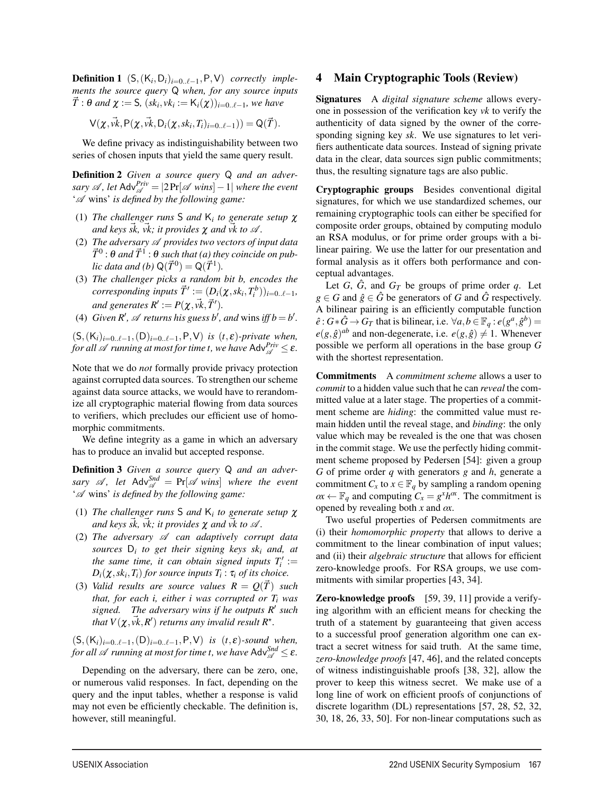**Definition 1**  $(S, (K_i, D_i)_{i=0...l-1}, P, V)$  *correctly implements the source query* <sup>Q</sup> *when, for any source inputs*  $\overrightarrow{T}$  :  $\theta$  *and*  $\chi$  := S,  $(\overrightarrow{sk_i}, \overrightarrow{vk_i}) = K_i(\chi)_{i=0..\ell-1}$ *, we have* 

$$
\mathsf{V}(\chi,\vec{vk},\mathsf{P}(\chi,\vec{vk},\mathsf{D}_i(\chi,sk_i,T_i)_{i=0..\ell-1}))=\mathsf{Q}(\vec{\mathsf{T}}).
$$

We define privacy as indistinguishability between two series of chosen inputs that yield the same query result.

Definition 2 *Given a source query* Q *and an adversary*  $\mathscr A$ , let  $\mathsf{Adv}_{\mathscr A}^{\mathsf{Priv}} = |2\Pr[\mathscr A \text{ wins}] - 1|$  where the event 'A wins' *is defined by the following game:*

- (1) *The challenger runs* S *and* K*<sup>i</sup> to generate setup* χ *and keys sk, vk; it provides*  $\chi$  *and vk to*  $\mathcal{A}$ *.*
- (2) *The adversary*  $\mathscr A$  *provides two vectors of input data*  $\vec T^0$ :  $\theta$  *and*  $\vec T^1$ :  $\theta$  *such that (a) they coincide on public data and (b)*  $Q(\vec{T}^0) = Q(\vec{T}^1)$ *.*
- (3) *The challenger picks a random bit b, encodes the corresponding inputs*  $\vec{T}' := (D_i(\chi, sk_i, T_i^b))_{i=0..\ell-1}$ *, and generates*  $R' := P(\chi, \vec{vk}, \vec{T}')$ .
- (4) *Given R'*,  $\mathscr A$  *returns his guess b'*, and wins *iff b* = *b'*.

 $(S,(K_i)_{i=0..\ell-1},(D)_{i=0..\ell-1},P,V)$  *is*  $(t,\varepsilon)$ *-private when, for all*  $\mathscr A$  *running at most for time t, we have*  $\mathsf{Adv}_{\mathscr A}^{\mathsf{Priv}} \leq \varepsilon$ .

Note that we do *not* formally provide privacy protection against corrupted data sources. To strengthen our scheme against data source attacks, we would have to rerandomize all cryptographic material flowing from data sources to verifiers, which precludes our efficient use of homomorphic commitments.

We define integrity as a game in which an adversary has to produce an invalid but accepted response.

Definition 3 *Given a source query* Q *and an adversary*  $\mathscr A$ , let  $\operatorname{\mathsf{Adv}}_{\mathscr A}^{\operatorname{Snd}} = \Pr[\mathscr A \text{ wins}]$  where the event 'A wins' *is defined by the following game:*

- (1) *The challenger runs* S *and* K*<sup>i</sup> to generate setup* χ *and keys sk, vk; it provides*  $\chi$  *and vk to*  $\mathcal{A}$ *.*
- $(2)$  *The adversary*  $\mathscr A$  *can adaptively corrupt data sources* D*<sup>i</sup> to get their signing keys ski and, at the same time, it can obtain signed inputs*  $T_i' :=$  $D_i(\chi, sk_i, T_i)$  *for source inputs*  $T_i : \tau_i$  *of its choice.*
- (3) *Valid results are source values*  $R = Q(\vec{T})$  *such that, for each i, either i was corrupted or Ti was signed. The adversary wins if he outputs R such that*  $V(\chi, \vec{vk}, R')$  *returns any invalid result*  $R^*$ .

 $(S, (K_i)_{i=0..\ell-1}, (D)_{i=0..\ell-1}, P, V)$  *is*  $(t, \varepsilon)$ *-sound when, for all*  $\mathscr A$  *running at most for time t, we have*  $\mathsf{Adv}^{\mathsf{Snd}}_{\mathscr A} \leq \varepsilon$ .

Depending on the adversary, there can be zero, one, or numerous valid responses. In fact, depending on the query and the input tables, whether a response is valid may not even be efficiently checkable. The definition is, however, still meaningful.

5

#### 4 Main Cryptographic Tools (Review)

Signatures A *digital signature scheme* allows everyone in possession of the verification key *vk* to verify the authenticity of data signed by the owner of the corresponding signing key *sk*. We use signatures to let verifiers authenticate data sources. Instead of signing private data in the clear, data sources sign public commitments; thus, the resulting signature tags are also public.

Cryptographic groups Besides conventional digital signatures, for which we use standardized schemes, our remaining cryptographic tools can either be specified for composite order groups, obtained by computing modulo an RSA modulus, or for prime order groups with a bilinear pairing. We use the latter for our presentation and formal analysis as it offers both performance and conceptual advantages.

Let *G*,  $\hat{G}$ , and  $G_T$  be groups of prime order *q*. Let  $g \in G$  and  $\hat{g} \in \hat{G}$  be generators of *G* and  $\hat{G}$  respectively. A bilinear pairing is an efficiently computable function  $\hat{e}: G * \hat{G} \to G_T$  that is bilinear, i.e.  $\forall a, b \in \mathbb{F}_q : e(g^a, \hat{g}^b) =$  $e(g, \hat{g})^{ab}$  and non-degenerate, i.e.  $e(g, \hat{g}) \neq 1$ . Whenever possible we perform all operations in the base group *G* with the shortest representation.

Commitments A *commitment scheme* allows a user to *commit* to a hidden value such that he can *reveal* the committed value at a later stage. The properties of a commitment scheme are *hiding*: the committed value must remain hidden until the reveal stage, and *binding*: the only value which may be revealed is the one that was chosen in the commit stage. We use the perfectly hiding commitment scheme proposed by Pedersen [54]: given a group *G* of prime order *q* with generators *g* and *h*, generate a commitment  $C_x$  to  $x \in \mathbb{F}_q$  by sampling a random opening  $\alpha x \leftarrow \mathbb{F}_q$  and computing  $C_x = g^x h^{\alpha x}$ . The commitment is opened by revealing both *x* and *ox*.

Two useful properties of Pedersen commitments are (i) their *homomorphic property* that allows to derive a commitment to the linear combination of input values; and (ii) their *algebraic structure* that allows for efficient zero-knowledge proofs. For RSA groups, we use commitments with similar properties [43, 34].

**Zero-knowledge proofs** [59, 39, 11] provide a verifying algorithm with an efficient means for checking the truth of a statement by guaranteeing that given access to a successful proof generation algorithm one can extract a secret witness for said truth. At the same time, *zero-knowledge proofs* [47, 46], and the related concepts of witness indistinguishable proofs [38, 32], allow the prover to keep this witness secret. We make use of a long line of work on efficient proofs of conjunctions of discrete logarithm (DL) representations [57, 28, 52, 32, 30, 18, 26, 33, 50]. For non-linear computations such as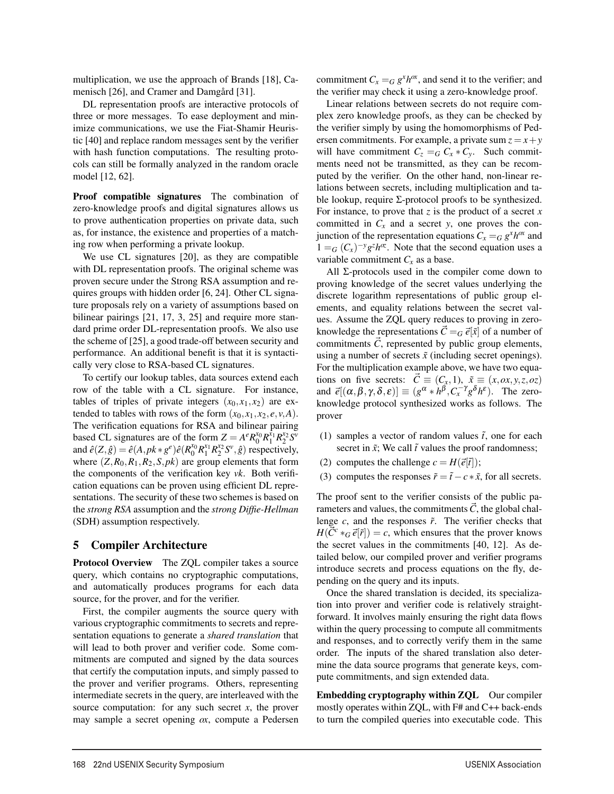multiplication, we use the approach of Brands [18], Camenisch [26], and Cramer and Damgård [31].

DL representation proofs are interactive protocols of three or more messages. To ease deployment and minimize communications, we use the Fiat-Shamir Heuristic [40] and replace random messages sent by the verifier with hash function computations. The resulting protocols can still be formally analyzed in the random oracle model [12, 62].

Proof compatible signatures The combination of zero-knowledge proofs and digital signatures allows us to prove authentication properties on private data, such as, for instance, the existence and properties of a matching row when performing a private lookup.

We use CL signatures [20], as they are compatible with DL representation proofs. The original scheme was proven secure under the Strong RSA assumption and requires groups with hidden order [6, 24]. Other CL signature proposals rely on a variety of assumptions based on bilinear pairings [21, 17, 3, 25] and require more standard prime order DL-representation proofs. We also use the scheme of [25], a good trade-off between security and performance. An additional benefit is that it is syntactically very close to RSA-based CL signatures.

To certify our lookup tables, data sources extend each row of the table with a CL signature. For instance, tables of triples of private integers  $(x_0, x_1, x_2)$  are extended to tables with rows of the form  $(x_0, x_1, x_2, e, v, A)$ . The verification equations for RSA and bilinear pairing based CL signatures are of the form  $Z = A^e R_0^{x_0} R_1^{\hat{x}_1} R_2^{x_2} S^{\hat{v}}$ and  $\hat{e}(Z,\hat{g}) = \hat{e}(A, pk * g^e) \hat{e}(R_0^{x_0} R_1^{x_1} R_2^{x_2} S^v, \hat{g})$  respectively, where  $(Z, R_0, R_1, R_2, S, pk)$  are group elements that form the components of the verification key *vk*. Both verification equations can be proven using efficient DL representations. The security of these two schemes is based on the *strong RSA* assumption and the *strong Diffie-Hellman* (SDH) assumption respectively.

#### 5 Compiler Architecture

Protocol Overview The ZQL compiler takes a source query, which contains no cryptographic computations, and automatically produces programs for each data source, for the prover, and for the verifier.

First, the compiler augments the source query with various cryptographic commitments to secrets and representation equations to generate a *shared translation* that will lead to both prover and verifier code. Some commitments are computed and signed by the data sources that certify the computation inputs, and simply passed to the prover and verifier programs. Others, representing intermediate secrets in the query, are interleaved with the source computation: for any such secret  $x$ , the prover may sample a secret opening *ox*, compute a Pedersen

commitment  $C_x = G g^x h^{\alpha x}$ , and send it to the verifier; and the verifier may check it using a zero-knowledge proof.

Linear relations between secrets do not require complex zero knowledge proofs, as they can be checked by the verifier simply by using the homomorphisms of Pedersen commitments. For example, a private sum  $z = x + y$ will have commitment  $C_z = G C_x * C_y$ . Such commitments need not be transmitted, as they can be recomputed by the verifier. On the other hand, non-linear relations between secrets, including multiplication and table lookup, require  $\Sigma$ -protocol proofs to be synthesized. For instance, to prove that *z* is the product of a secret *x* committed in *Cx* and a secret *y*, one proves the conjunction of the representation equations  $C_x = G g^x h^{\alpha x}$  and  $1 = G\left(\frac{C_x}{r}\right)^{-y} g^z h^{\sigma z}$ . Note that the second equation uses a variable commitment  $C_x$  as a base.

All  $\Sigma$ -protocols used in the compiler come down to proving knowledge of the secret values underlying the discrete logarithm representations of public group elements, and equality relations between the secret values. Assume the ZQL query reduces to proving in zeroknowledge the representations  $\vec{C} = G \vec{e}[\vec{x}]$  of a number of commitments  $\vec{C}$ , represented by public group elements, using a number of secrets  $\tilde{x}$  (including secret openings). For the multiplication example above, we have two equations on five secrets:  $\vec{C} \equiv (C_x, 1), \ \tilde{x} \equiv (x, \omega, y, z, \omega z)$ and  $\vec{e}[(\alpha, \beta, \gamma, \delta, \varepsilon)] \equiv (g^{\alpha} * h^{\beta}, C_x^{-\gamma} g^{\delta} h^{\varepsilon}).$  The zeroknowledge protocol synthesized works as follows. The prover

- (1) samples a vector of random values  $\tilde{t}$ , one for each secret in  $\tilde{x}$ ; We call  $\tilde{t}$  values the proof randomness;
- (2) computes the challenge  $c = H(\vec{e}[t])$ ;
- (3) computes the responses  $\tilde{r} = \tilde{t} c * \tilde{x}$ , for all secrets.

The proof sent to the verifier consists of the public parameters and values, the commitments  $\vec{C}$ , the global challenge  $c$ , and the responses  $\tilde{r}$ . The verifier checks that  $H(\vec{C}^c *_{\vec{G}} \vec{e} | \vec{r}) = c$ , which ensures that the prover knows the secret values in the commitments [40, 12]. As detailed below, our compiled prover and verifier programs introduce secrets and process equations on the fly, depending on the query and its inputs.

Once the shared translation is decided, its specialization into prover and verifier code is relatively straightforward. It involves mainly ensuring the right data flows within the query processing to compute all commitments and responses, and to correctly verify them in the same order. The inputs of the shared translation also determine the data source programs that generate keys, compute commitments, and sign extended data.

Embedding cryptography within ZQL Our compiler mostly operates within ZQL, with F# and C++ back-ends to turn the compiled queries into executable code. This

6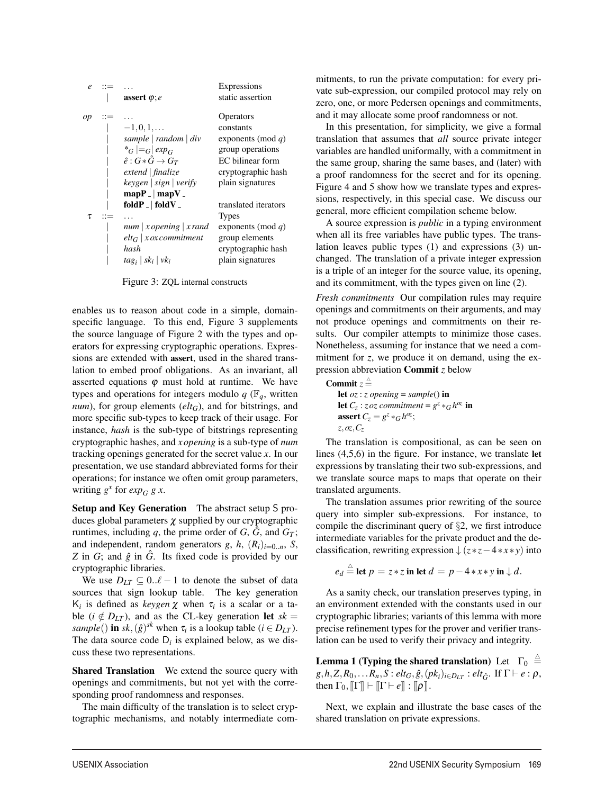| e  | …=    |                                                     | Expressions          |
|----|-------|-----------------------------------------------------|----------------------|
|    |       | assert $\varphi$ ; e                                | static assertion     |
| op | $::=$ |                                                     | Operators            |
|    |       | $-1, 0, 1, \ldots$                                  | constants            |
|    |       | sample   $random$   $div$                           | exponents (mod $q$ ) |
|    |       | $\left  \epsilon \right  = G \left  \exp G \right $ | group operations     |
|    |       | $\hat{e}: G * \hat{G} \to Gr$                       | EC bilinear form     |
|    |       | $extend$ finalize                                   | cryptographic hash   |
|    |       | $keygen \mid sign \mid verify$                      | plain signatures     |
|    |       | $mapP_{-}$ map V $_{-}$                             |                      |
|    |       | fold $P_{-}$   fold V $_{-}$                        | translated iterators |
| τ  | $::=$ |                                                     | <b>Types</b>         |
|    |       | num   x opening   x rand                            | exponents (mod $q$ ) |
|    |       | $elt_G$   x ox commitment                           | group elements       |
|    |       | hash                                                | cryptographic hash   |
|    |       | $tag_i   sk_i   vk_i$                               | plain signatures     |

Figure 3: ZQL internal constructs

enables us to reason about code in a simple, domainspecific language. To this end, Figure 3 supplements the source language of Figure 2 with the types and operators for expressing cryptographic operations. Expressions are extended with assert, used in the shared translation to embed proof obligations. As an invariant, all asserted equations  $\varphi$  must hold at runtime. We have types and operations for integers modulo  $q \times q$ , written *num*), for group elements ( $e l t_G$ ), and for bitstrings, and more specific sub-types to keep track of their usage. For instance, *hash* is the sub-type of bitstrings representing cryptographic hashes, and *x opening* is a sub-type of *num* tracking openings generated for the secret value *x*. In our presentation, we use standard abbreviated forms for their operations; for instance we often omit group parameters, writing  $g^x$  for  $exp_G g x$ .

Setup and Key Generation The abstract setup S produces global parameters  $\chi$  supplied by our cryptographic runtimes, including q, the prime order of  $G$ ,  $\hat{G}$ , and  $G_T$ ; and independent, random generators *g*, *h*,  $(R_i)_{i=0..n}$ , *S*, *Z* in *G*; and  $\hat{g}$  in  $\hat{G}$ . Its fixed code is provided by our cryptographic libraries.

We use  $D_{LT} \subseteq 0..\ell - 1$  to denote the subset of data sources that sign lookup table. The key generation K<sub>i</sub> is defined as *keygen*  $\chi$  when  $\tau$ <sub>*i*</sub> is a scalar or a table ( $i \notin D_{LT}$ ), and as the CL-key generation let  $sk =$ *sample*() **in** *sk*,( $\hat{g}$ )<sup>*sk*</sup> when  $\tau_i$  is a lookup table ( $i \in D_{LT}$ ). The data source code  $D_i$  is explained below, as we discuss these two representations.

Shared Translation We extend the source query with openings and commitments, but not yet with the corresponding proof randomness and responses.

The main difficulty of the translation is to select cryptographic mechanisms, and notably intermediate commitments, to run the private computation: for every private sub-expression, our compiled protocol may rely on zero, one, or more Pedersen openings and commitments, and it may allocate some proof randomness or not.

In this presentation, for simplicity, we give a formal translation that assumes that *all* source private integer variables are handled uniformally, with a commitment in the same group, sharing the same bases, and (later) with a proof randomness for the secret and for its opening. Figure 4 and 5 show how we translate types and expressions, respectively, in this special case. We discuss our general, more efficient compilation scheme below.

A source expression is *public* in a typing environment when all its free variables have public types. The translation leaves public types (1) and expressions (3) unchanged. The translation of a private integer expression is a triple of an integer for the source value, its opening, and its commitment, with the types given on line (2).

*Fresh commitments* Our compilation rules may require openings and commitments on their arguments, and may not produce openings and commitments on their results. Our compiler attempts to minimize those cases. Nonetheless, assuming for instance that we need a commitment for *z*, we produce it on demand, using the expression abbreviation Commit *z* below

```
Commit z \triangleqlet oz: z opening = sample() in
 let C_z: zoz commitment = g^z *_{G} h^{\alpha} in
 assert C_z = g^z *_{G} h^{\alpha z};
 z,oz,Cz
```
The translation is compositional, as can be seen on lines (4,5,6) in the figure. For instance, we translate let expressions by translating their two sub-expressions, and we translate source maps to maps that operate on their translated arguments.

The translation assumes prior rewriting of the source query into simpler sub-expressions. For instance, to compile the discriminant query of §2, we first introduce intermediate variables for the private product and the declassification, rewriting expression ↓ (*z*∗*z*−4∗*x*∗*y*) into

$$
e_d \stackrel{\triangle}{=} \text{let } p = z * z \text{ in let } d = p - 4 * x * y \text{ in } \downarrow d.
$$

As a sanity check, our translation preserves typing, in an environment extended with the constants used in our cryptographic libraries; variants of this lemma with more precise refinement types for the prover and verifier translation can be used to verify their privacy and integrity.

Lemma 1 (Typing the shared translation) Let  $\Gamma_0 \stackrel{\triangle}{=}$  $g, h, Z, R_0, \ldots, R_n, S : elt_G, \hat{g}, (pk_i)_{i \in D_{LT}} : elt_{\hat{G}}.$  If  $\Gamma \vdash e : \rho$ , then  $\Gamma_0$ ,  $\|\Gamma\| \vdash \|\Gamma \vdash e\|$  :  $\|\rho\|$ .

Next, we explain and illustrate the base cases of the shared translation on private expressions.

7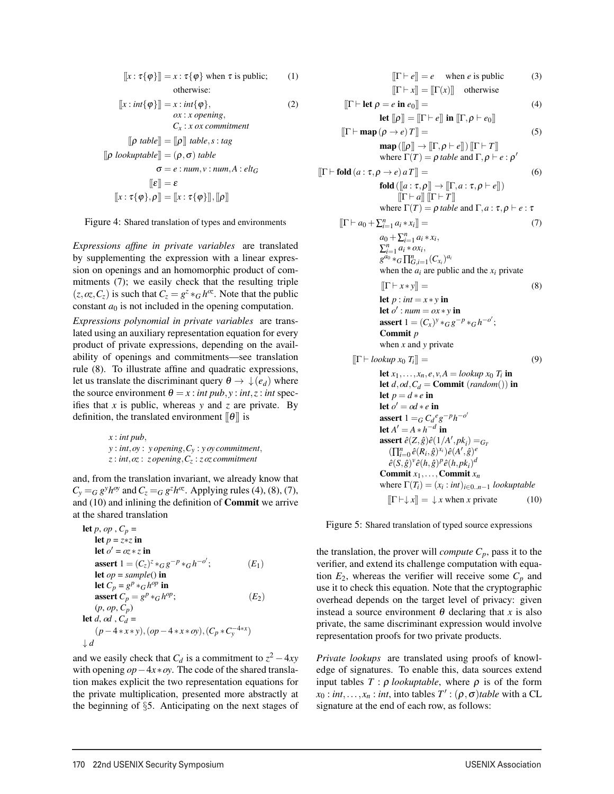$$
[[x : \tau{\varphi}]]] = x : \tau{\varphi} \text{ when } \tau \text{ is public;}
$$
 (1)  
otherwise:

$$
[[x: int{\varphi}]]] = x: int{\varphi},
$$
\n(2)  
\n*ox*: *x opening*,  
\n*C<sub>x</sub>*: *x ox commitment*  
\n
$$
[[\rho \t{table}] = [[\rho]] \t{table}, s: tag
$$
  
\n
$$
[[\rho \t{lookupable}]] = (\rho, \sigma) \t{table}
$$
  
\n
$$
\sigma = e: num, v: num, A: elt_G
$$
  
\n
$$
[[\varepsilon]] = \varepsilon
$$
  
\n
$$
[[x: \tau{\varphi}, \rho]] = [[x: \tau{\varphi}]], [[\rho]]
$$
\n(2)

Figure 4: Shared translation of types and environments

*Expressions affine in private variables* are translated by supplementing the expression with a linear expression on openings and an homomorphic product of commitments (7); we easily check that the resulting triple  $(z, \alpha z, C_z)$  is such that  $C_z = g^z *_{\mathcal{G}} h^{\alpha z}$ . Note that the public constant  $a_0$  is not included in the opening computation.

*Expressions polynomial in private variables* are translated using an auxiliary representation equation for every product of private expressions, depending on the availability of openings and commitments—see translation rule (8). To illustrate affine and quadratic expressions, let us translate the discriminant query  $\theta \rightarrow \downarrow (e_d)$  where the source environment  $\theta = x$ : *int* pub, y : *int*, *z* : *int* specifies that *x* is public, whereas  $y$  and  $z$  are private. By definition, the translated environment  $\llbracket \theta \rrbracket$  is

> *x* : *int pub*, *y* : *int*,*oy* : *y opening*,*Cy* : *y oy commitment*, *z* : *int*,*oz* : *z opening*,*Cz* : *z oz commitment*

and, from the translation invariant, we already know that  $C_y = G g^y h^{dy}$  and  $C_z = G g^z h^{dx}$ . Applying rules (4), (8), (7), and (10) and inlining the definition of Commit we arrive at the shared translation

let 
$$
p
$$
,  $op$ ,  $C_p$  =  
\nlet  $p = z * z$  in  
\nlet  $o' = oz * z$  in  
\nassert  $1 = (C_z)^z *_{GS}^{-p} *_{G} h^{-o'}$ ;  $(E_1)$   
\nlet  $op = sample()$  in  
\nlet  $C_p = g^p *_{G} h^{op}$  in  
\nassert  $C_p = g^p *_{G} h^{op}$ ;  $(E_2)$   
\n $(p, op, C_p)$   
\nlet  $d$ ,  $od$ ,  $C_d$  =  
\n $(p - 4 * x * y)$ ,  $(op - 4 * x * oy)$ ,  $(C_p * C_y^{-4*x})$   
\n $\downarrow d$ 

and we easily check that  $C_d$  is a commitment to  $z^2 - 4xy$ with opening *op*−4*x*∗*oy*. The code of the shared translation makes explicit the two representation equations for the private multiplication, presented more abstractly at the beginning of §5. Anticipating on the next stages of

$$
[\Gamma \vdash e] = e \text{ when } e \text{ is public}
$$
(3)  

$$
[\Gamma \vdash x] = [\Gamma(x)] \text{ otherwise}
$$
(4)  

$$
[\Gamma \vdash \text{let } \rho = e \text{ in } e_0] =
$$
(4)  

$$
\text{let } [\rho] = [\Gamma \vdash e] \text{ in } [[\Gamma, \rho \vdash e_0]]
$$
(5)  

$$
\text{map } ([\rho] \rightarrow [\Gamma, \rho \vdash e])] [\Gamma \vdash T]
$$
where  $\Gamma(T) = \rho \text{ table and } \Gamma, \rho \vdash e : \rho'$   

$$
[\Gamma \vdash \text{fold } (a : \tau, \rho \rightarrow e) a T] =
$$
(6)  

$$
\text{fold } ([a : \tau, \rho]] \rightarrow [[\Gamma \vdash T]]
$$
  

$$
[\Gamma \vdash a] [[\Gamma \vdash T]]
$$
  

$$
\text{where } \Gamma(T) = \rho \text{ table and } \Gamma, a : \tau, \rho \vdash e : \tau
$$
  

$$
[[\Gamma \vdash a_0 \vdash \sum_{i=1}^{n} a_i * x_i]] =
$$
(7)  

$$
a_0 \vdash \sum_{i=1}^{n} a_i * x_i,
$$

$$
\sum_{i=1}^{n} a_i * x_i,
$$

$$
\sum_{i=1}^{n} a_i * x_i,
$$

$$
\sum_{i=1}^{n} a_i * x_i,
$$

$$
\sum_{i=1}^{n} a_i * x_i,
$$

$$
\sum_{i=1}^{n} a_i * x_i,
$$

$$
\sum_{i=1}^{n} a_i * x_i,
$$

$$
\sum_{i=1}^{n} a_i * x_i,
$$

$$
\sum_{i=1}^{n} a_i * x_i,
$$

$$
\sum_{i=1}^{n} a_i * x_i,
$$

$$
\sum_{i=1}^{n} a_i * x_i,
$$

$$
\sum_{i=1}^{n} a_i * x_i,
$$

$$
\sum_{i=1}^{n} a_i * x_i,
$$

$$
\sum_{i=1}^{n} a_i * x_i,
$$

$$
\sum_{i=1}^{n} a_i * x_i,
$$

$$
\sum_{i=1}^{n} a_i * x_i,
$$

$$
\sum_{i=1}^{n} a
$$

Figure 5: Shared translation of typed source expressions

the translation, the prover will *compute*  $C_p$ , pass it to the verifier, and extend its challenge computation with equation  $E_2$ , whereas the verifier will receive some  $C_p$  and use it to check this equation. Note that the cryptographic overhead depends on the target level of privacy: given instead a source environment  $\theta$  declaring that *x* is also private, the same discriminant expression would involve representation proofs for two private products.

*Private lookups* are translated using proofs of knowledge of signatures. To enable this, data sources extend input tables  $T : \rho$  *lookuptable*, where  $\rho$  is of the form  $x_0$ : *int*,..., $x_n$ : *int*, into tables  $T'$ :  $(\rho, \sigma)$ *table* with a CL signature at the end of each row, as follows: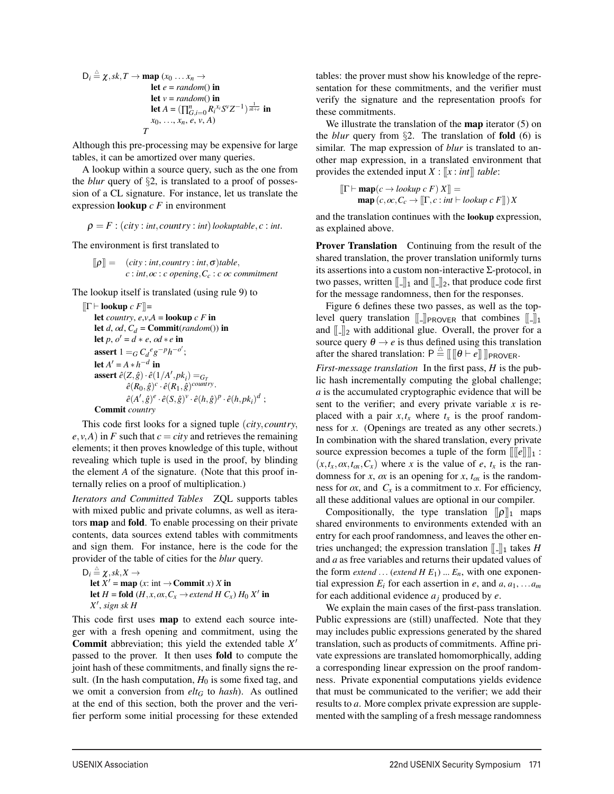$$
D_i \stackrel{\triangle}{=} \chi, sk, T \rightarrow \textbf{map}(x_0 \dots x_n \rightarrow
$$
  
\nlet  $e = \text{random}()$  in  
\nlet  $v = \text{random}(t)$  in  
\nlet  $A = (\prod_{G, i=0}^{n} R_i^{x_i} S^v Z^{-1})^{\frac{1}{sk+\epsilon}}$  in  
\n $x_0, \dots, x_n, e, v, A)$   
\nT

Although this pre-processing may be expensive for large tables, it can be amortized over many queries.

A lookup within a source query, such as the one from the *blur* query of §2, is translated to a proof of possession of a CL signature. For instance, let us translate the expression lookup *c F* in environment

 $\rho = F : (city : int, country : int)$  *lookuptable*, *c* : *int*.

The environment is first translated to

$$
[\![\rho]\!] = (city: int, country: int, \sigma) table,c: int, oc: c opening, Cc: c co commitment
$$

The lookup itself is translated (using rule 9) to

```
[[\Gamma \vdash \textbf{lookup} \ c \ F]] =let country, e,v,A =lookup cF in
   let d, od, C_d = Commit(random()) in
  let p, o' = d * e, od * e in
   assert 1 = G C_d^e g^{-p} h^{-o'};let A' = A * h^{-d} in
   assert \hat{e}(Z, \hat{g}) \cdot \hat{e}(1/A', pk_i) =_{G_T}\hat{e}(R_0, \hat{g})^c \cdot \hat{e}(R_1, \hat{g})^{country}.
                 \hat{e}(A',\hat{g})^e \cdot \hat{e}(S,\hat{g})^v \cdot \hat{e}(h,\hat{g})^p \cdot \hat{e}(h,pk_i)^d;
   Commit country
```
This code first looks for a signed tuple (*city*, *country*,  $e$ ,  $v$ , *A*) in *F* such that  $c = city$  and retrieves the remaining elements; it then proves knowledge of this tuple, without revealing which tuple is used in the proof, by blinding the element *A* of the signature. (Note that this proof internally relies on a proof of multiplication.)

*Iterators and Committed Tables* ZQL supports tables with mixed public and private columns, as well as iterators map and fold. To enable processing on their private contents, data sources extend tables with commitments and sign them. For instance, here is the code for the provider of the table of cities for the *blur* query.

$$
D_i \stackrel{\triangle}{=} \chi, sk, X \rightarrow
$$
  
let  $X' = \text{map}(x: \text{ int} \rightarrow \text{Commit } x) X \text{ in}$   
let  $H = \text{fold}(H, x, \alpha x, C_x \rightarrow \text{extend } H \ C_x) H_0 X' \text{ in}$   
 $X', \text{ sign } sk \ H$ 

This code first uses map to extend each source integer with a fresh opening and commitment, using the Commit abbreviation; this yield the extended table *X* passed to the prover. It then uses fold to compute the joint hash of these commitments, and finally signs the result. (In the hash computation,  $H_0$  is some fixed tag, and we omit a conversion from *elt<sub>G</sub>* to *hash*). As outlined at the end of this section, both the prover and the verifier perform some initial processing for these extended

9

tables: the prover must show his knowledge of the representation for these commitments, and the verifier must verify the signature and the representation proofs for these commitments.

We illustrate the translation of the **map** iterator (5) on the *blur* query from  $\S2$ . The translation of **fold** (6) is similar. The map expression of *blur* is translated to another map expression, in a translated environment that provides the extended input  $X : [[x : int]]$  *table*:

$$
\begin{aligned} \llbracket \Gamma \vdash \textbf{map}(c \to \textit{lookup} \ c \ F) \ X \rrbracket &= \\ \textbf{map}(c, \textit{oc}, C_c \to \llbracket \Gamma, c : \textit{int} \vdash \textit{lookup} \ c \ F \rrbracket) \ X \end{aligned}
$$

and the translation continues with the lookup expression, as explained above.

Prover Translation Continuing from the result of the shared translation, the prover translation uniformly turns its assertions into a custom non-interactive  $\Sigma$ -protocol, in two passes, written  $\llbracket \cdot \rrbracket_1$  and  $\llbracket \cdot \rrbracket_2$ , that produce code first for the message randomness, then for the responses.

Figure 6 defines these two passes, as well as the toplevel query translation  $[\![\cdot]\!]_{\text{PROVER}}$  that combines  $[\![\cdot]\!]_1$ and  $\llbracket \cdot \rrbracket_2$  with additional glue. Overall, the prover for a source query  $\theta \rightarrow e$  is thus defined using this translation after the shared translation:  $P \triangleq [[\theta \vdash e]]$   $]$ <sub>PROVER</sub>.

*First-message translation* In the first pass, *H* is the public hash incrementally computing the global challenge; *a* is the accumulated cryptographic evidence that will be sent to the verifier; and every private variable *x* is replaced with a pair  $x, t_x$  where  $t_x$  is the proof randomness for *x*. (Openings are treated as any other secrets.) In combination with the shared translation, every private source expression becomes a tuple of the form  $\llbracket \llbracket e \rrbracket \rrbracket_1$ :  $(x, t_x, \omega x, t_{\omega x}, C_x)$  where *x* is the value of *e*,  $t_x$  is the randomness for *x*,  $\alpha x$  is an opening for *x*,  $t_{\alpha x}$  is the randomness for  $\alpha x$ , and  $C_x$  is a commitment to *x*. For efficiency, all these additional values are optional in our compiler.

Compositionally, the type translation  $\|\rho\|_1$  maps shared environments to environments extended with an entry for each proof randomness, and leaves the other entries unchanged; the expression translation  $\llbracket \cdot \rrbracket_1$  takes *H* and *a* as free variables and returns their updated values of the form *extend* ... (*extend H E*1) ... *En*, with one exponential expression  $E_i$  for each assertion in *e*, and *a*,  $a_1, \ldots, a_m$ for each additional evidence *aj* produced by *e*.

We explain the main cases of the first-pass translation. Public expressions are (still) unaffected. Note that they may includes public expressions generated by the shared translation, such as products of commitments. Affine private expressions are translated homomorphically, adding a corresponding linear expression on the proof randomness. Private exponential computations yields evidence that must be communicated to the verifier; we add their results to *a*. More complex private expression are supplemented with the sampling of a fresh message randomness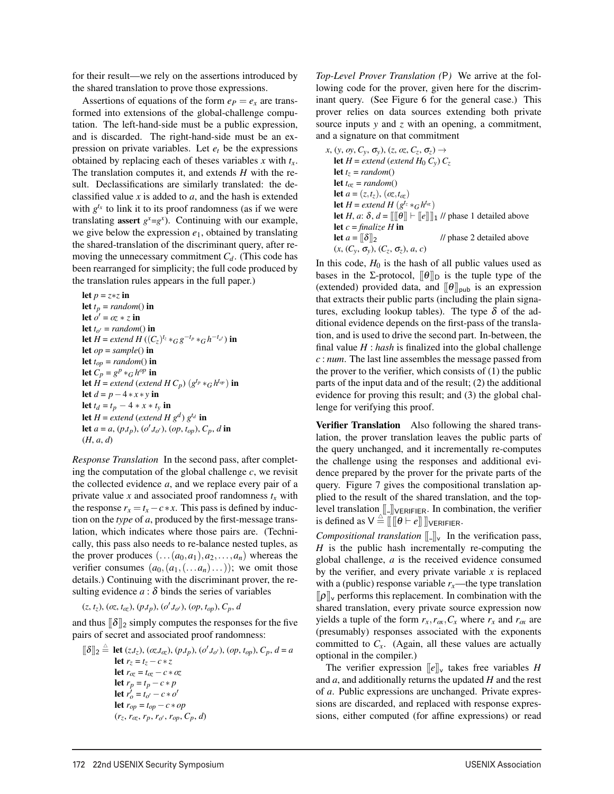for their result—we rely on the assertions introduced by the shared translation to prove those expressions.

Assertions of equations of the form  $e_P = e_x$  are transformed into extensions of the global-challenge computation. The left-hand-side must be a public expression, and is discarded. The right-hand-side must be an expression on private variables. Let  $e_t$  be the expressions obtained by replacing each of theses variables *x* with *tx*. The translation computes it, and extends *H* with the result. Declassifications are similarly translated: the declassified value *x* is added to *a*, and the hash is extended with  $g^{t_x}$  to link it to its proof randomness (as if we were translating assert  $g^x = g^x$ ). Continuing with our example, we give below the expression *e*1, obtained by translating the shared-translation of the discriminant query, after removing the unnecessary commitment  $C_d$ . (This code has been rearranged for simplicity; the full code produced by the translation rules appears in the full paper.)

let 
$$
p = z * z
$$
 in  
\nlet  $t_p = random()$  in  
\nlet  $v' = \alpha z * z$  in  
\nlet  $t_{\alpha'} = random()$  in  
\nlet  $H = extend H ((C_z)^{t_z} *_{G} g^{-t_p} *_{G} h^{-t_{\alpha'}})$  in  
\nlet  $op = sample()$  in  
\nlet  $t_{op} = random()$  in  
\nlet  $C_p = g^p *_{G} h^{op}$  in  
\nlet  $H = extend (extend H C_p) (g^{t_p} *_{G} h^{t_{op}})$  in  
\nlet  $d = p - 4 * x * y$  in  
\nlet  $t_d = t_p - 4 * x * t_y$  in  
\nlet  $H = extend (extend H g^d) g^{t_d}$  in  
\nlet  $a = a, (p, t_p), (o', t_{\alpha'}), (op, t_{op}), C_p, d$  in  
\n $(H, a, d)$ 

*Response Translation* In the second pass, after completing the computation of the global challenge *c*, we revisit the collected evidence *a*, and we replace every pair of a private value  $x$  and associated proof randomness  $t_x$  with the response  $r_x = t_x - c \cdot x$ . This pass is defined by induction on the *type* of *a*, produced by the first-message translation, which indicates where those pairs are. (Technically, this pass also needs to re-balance nested tuples, as the prover produces  $(\ldots(a_0,a_1),a_2,\ldots,a_n)$  whereas the verifier consumes  $(a_0, (a_1,(\ldots a_n),\ldots))$ ; we omit those details.) Continuing with the discriminant prover, the resulting evidence  $a : \delta$  binds the series of variables

 $(z, t_z)$ ,  $(\alpha z, t_{\alpha z})$ ,  $(p, t_p)$ ,  $(\alpha', t_{\alpha'})$ ,  $(\alpha p, t_{\alpha p})$ ,  $C_p$ , *d* 

and thus  $\|\delta\|_2$  simply computes the responses for the five pairs of secret and associated proof randomness:

$$
[\![\delta]\!]_2 \stackrel{\triangle}{=} \text{let} (z,t_z), (\alpha z,t_{\alpha z}), (p,t_p), (o',t_{\alpha'}), (op, t_{op}), C_p, d = a
$$
\n
$$
\text{let } r_z = t_z - c * z
$$
\n
$$
\text{let } r_{\alpha z} = t_{\alpha z} - c * \alpha z
$$
\n
$$
\text{let } r_p = t_p - c * p
$$
\n
$$
\text{let } r'_o = t_{o'} - c * o'
$$
\n
$$
\text{let } r_{op} = t_{op} - c * op
$$
\n
$$
(r_z, r_{\alpha z}, r_p, r_{o'}, r_{op}, C_p, d)
$$

 $\overline{a}$ 

*Top-Level Prover Translation (*P*)* We arrive at the following code for the prover, given here for the discriminant query. (See Figure 6 for the general case.) This prover relies on data sources extending both private source inputs *y* and *z* with an opening, a commitment, and a signature on that commitment

x, (y, 
$$
oy
$$
,  $C_y$ ,  $\sigma_y$ ), (z,  $oz$ ,  $C_z$ ,  $\sigma_z$ )  $\rightarrow$   
\nlet  $H = extend$  (extend  $H_0 C_y$ )  $C_z$   
\nlet  $t_z = random()$   
\nlet  $t_{ox} = random()$   
\nlet  $a = (z, t_z)$ ,  $(oz, t_{ox})$   
\nlet  $H = extend H (g^{t_x} * G h^{t_{ox}})$   
\nlet  $H$ ,  $a: \delta$ ,  $d = [[[\![\theta]\!] \vdash [[\![e]]\!]]_1 / l$  phase 1 detailed above  
\nlet  $c = \text{f} \text{.}$   
\nlet  $a = [[\![\delta]]_2$  // phase 2 detailed above  
\n $(x, (C_y, \sigma_y), (C_z, \sigma_z), a, c)$ 

In this code,  $H_0$  is the hash of all public values used as bases in the Σ-protocol,  $[\![\theta]\!]_D$  is the tuple type of the (extended) provided data, and  $[\![\theta]\!]_{\text{pub}}$  is an expression that extracts their public parts (including the plain signatures, excluding lookup tables). The type  $\delta$  of the additional evidence depends on the first-pass of the translation, and is used to drive the second part. In-between, the final value *H* : *hash* is finalized into the global challenge *c* : *num*. The last line assembles the message passed from the prover to the verifier, which consists of (1) the public parts of the input data and of the result; (2) the additional evidence for proving this result; and (3) the global challenge for verifying this proof.

Verifier Translation Also following the shared translation, the prover translation leaves the public parts of the query unchanged, and it incrementally re-computes the challenge using the responses and additional evidence prepared by the prover for the private parts of the query. Figure 7 gives the compositional translation applied to the result of the shared translation, and the toplevel translation  $\llbracket - \rrbracket_{\mathsf{VERIFIER}}$ . In combination, the verifier is defined as  $V \stackrel{\triangle}{=} [[\![\theta \vdash e]\!]$   $\parallel$ <sub>VERIFIER</sub>.

*Compositional translation*  $\llbracket \_ \Vert_{\mathsf{v}}$  In the verification pass, *H* is the public hash incrementally re-computing the global challenge, *a* is the received evidence consumed by the verifier, and every private variable  $x$  is replaced with a (public) response variable  $r_x$ —the type translation  $[\rho]_{\vee}$  performs this replacement. In combination with the shared translation, every private source expression now yields a tuple of the form  $r_x, r_{\alpha x}, C_x$  where  $r_x$  and  $r_{\alpha x}$  are (presumably) responses associated with the exponents committed to  $C_x$ . (Again, all these values are actually optional in the compiler.)

The verifier expression  $\llbracket e \rrbracket_{\vee}$  takes free variables *H* and *a*, and additionally returns the updated *H* and the rest of *a*. Public expressions are unchanged. Private expressions are discarded, and replaced with response expressions, either computed (for affine expressions) or read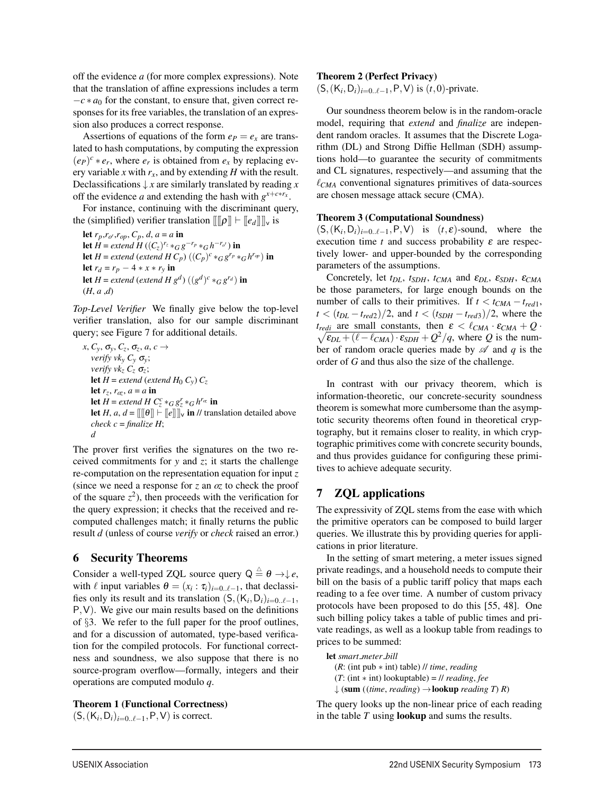off the evidence *a* (for more complex expressions). Note that the translation of affine expressions includes a term  $-c*a<sub>0</sub>$  for the constant, to ensure that, given correct responses for its free variables, the translation of an expression also produces a correct response.

Assertions of equations of the form  $e_P = e_x$  are translated to hash computations, by computing the expression  $(e_P)^c * e_r$ , where  $e_r$  is obtained from  $e_x$  by replacing every variable *x* with  $r_x$ , and by extending *H* with the result. Declassifications  $\downarrow$  *x* are similarly translated by reading *x* off the evidence *a* and extending the hash with  $g^{x+ c * r_x}$ .

For instance, continuing with the discriminant query, the (simplified) verifier translation  $[\![\lbrack \lbrack \rho \rbrack \rbrack \rbrack - \lbrack \lbrack e_d \rbrack \rbrack]_v$  is

let  $r_p, r_{o'}, r_{op}, C_p, d, a = a$  in **let** *H* = *extend H* (( $C_z$ )<sup>*rz*</sup> ∗*G g*<sup>−*r<sub>p</sub>*</sup> ∗*G h*<sup>−*r<sub>o</sub>'*</sup>) **in** let *H* = *extend* (*extend H*  $C_p$ ) (( $C_p$ )<sup>*c*</sup> \**G*</sub> $g^{r_p}$  \**G* $h^{r_{op}}$ ) in let *r*<sub>*d*</sub> = *r*<sub>*p*</sub> − 4 ∗ *x* ∗ *r*<sub>*y*</sub> in let *H* = *extend* (*extend H*  $g^{d}$ ) ( $(g^{d})^{c}$  \* $_{G}$  $g^{r_d}$ ) in (*H*, *a* ,*d*)

*Top-Level Verifier* We finally give below the top-level verifier translation, also for our sample discriminant query; see Figure 7 for additional details.

*x*, *Cy*, σ*y*, *Cz*, σ*z*, *a*, *c* → *verify vky Cy* σ*y*; *verify vkz Cz* σ*z*; let *H* = *extend* (*extend H*<sup>0</sup> *Cy*) *Cz* let *rz*, *roz*, *a* = *a* in let *H* = *extend H C<sup>c</sup> <sup>z</sup>* <sup>∗</sup>*<sup>G</sup> gr <sup>z</sup>* <sup>∗</sup>*<sup>G</sup> hroz* in let *H*, *a*, *d* = [[[[θ]] [[*e*]]]]<sup>v</sup> in // translation detailed above *check c* = *finalize H*; *d*

The prover first verifies the signatures on the two received commitments for *y* and *z*; it starts the challenge re-computation on the representation equation for input *z* (since we need a response for *z* an *oz* to check the proof of the square  $z^2$ ), then proceeds with the verification for the query expression; it checks that the received and recomputed challenges match; it finally returns the public result *d* (unless of course *verify* or *check* raised an error.)

### 6 Security Theorems

Consider a well-typed ZQL source query  $Q \stackrel{\triangle}{=} \theta \rightarrow \downarrow e$ , with  $\ell$  input variables  $\theta = (x_i : \tau_i)_{i=0..\ell-1}$ , that declassifies only its result and its translation  $(S, (K_i, D_i)_{i=0..\ell-1},$ P,V). We give our main results based on the definitions of §3. We refer to the full paper for the proof outlines, and for a discussion of automated, type-based verification for the compiled protocols. For functional correctness and soundness, we also suppose that there is no source-program overflow—formally, integers and their operations are computed modulo *q*.

### Theorem 1 (Functional Correctness)

 $(S, (K_i, D_i)_{i=0..\ell-1}, P, V)$  is correct.

### Theorem 2 (Perfect Privacy)

 $(S, (K_i, D_i)_{i=0..l-1}, P, V)$  is  $(t, 0)$ -private.

Our soundness theorem below is in the random-oracle model, requiring that *extend* and *finalize* are independent random oracles. It assumes that the Discrete Logarithm (DL) and Strong Diffie Hellman (SDH) assumptions hold—to guarantee the security of commitments and CL signatures, respectively—and assuming that the  $\ell_{CMA}$  conventional signatures primitives of data-sources are chosen message attack secure (CMA).

### Theorem 3 (Computational Soundness)

 $(S, (K_i, D_i)_{i=0,\ell-1}, P, V)$  is  $(t, \varepsilon)$ -sound, where the execution time  $t$  and success probability  $\varepsilon$  are respectively lower- and upper-bounded by the corresponding parameters of the assumptions.

Concretely, let *tDL*, *tSDH*, *tCMA* and ε*DL*, ε*SDH*, ε*CMA* be those parameters, for large enough bounds on the number of calls to their primitives. If  $t < t_{CMA} - t_{red1}$ ,  $t < (t_{DL} - t_{red2})/2$ , and  $t < (t_{SDH} - t_{red3})/2$ , where the  $t_{\text{red}}$  are small constants, then  $\varepsilon < \ell_{\text{CMA}} \cdot \varepsilon_{\text{CMA}} + Q$ .  $\sqrt{\varepsilon_{DL} + (\ell - \ell_{CMA}) \cdot \varepsilon_{SDH}} + Q^2/q$ , where *Q* is the number of random oracle queries made by  $\mathscr A$  and  $q$  is the order of *G* and thus also the size of the challenge.

In contrast with our privacy theorem, which is information-theoretic, our concrete-security soundness theorem is somewhat more cumbersome than the asymptotic security theorems often found in theoretical cryptography, but it remains closer to reality, in which cryptographic primitives come with concrete security bounds, and thus provides guidance for configuring these primitives to achieve adequate security.

# 7 ZQL applications

11

The expressivity of ZQL stems from the ease with which the primitive operators can be composed to build larger queries. We illustrate this by providing queries for applications in prior literature.

In the setting of smart metering, a meter issues signed private readings, and a household needs to compute their bill on the basis of a public tariff policy that maps each reading to a fee over time. A number of custom privacy protocols have been proposed to do this [55, 48]. One such billing policy takes a table of public times and private readings, as well as a lookup table from readings to prices to be summed:

```
let smart meter bill
(R: (int pub ∗ int) table) // time, reading
(T: (int ∗ int) lookuptable) = // reading, fee
\downarrow (sum ((time, reading) \rightarrowlookup reading T) R)
```
The query looks up the non-linear price of each reading in the table *T* using lookup and sums the results.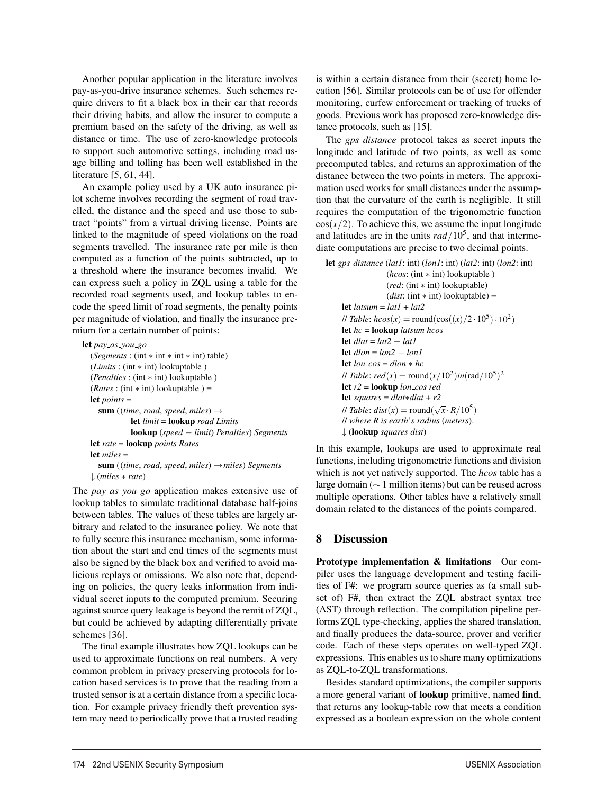Another popular application in the literature involves pay-as-you-drive insurance schemes. Such schemes require drivers to fit a black box in their car that records their driving habits, and allow the insurer to compute a premium based on the safety of the driving, as well as distance or time. The use of zero-knowledge protocols to support such automotive settings, including road usage billing and tolling has been well established in the literature [5, 61, 44].

An example policy used by a UK auto insurance pilot scheme involves recording the segment of road travelled, the distance and the speed and use those to subtract "points" from a virtual driving license. Points are linked to the magnitude of speed violations on the road segments travelled. The insurance rate per mile is then computed as a function of the points subtracted, up to a threshold where the insurance becomes invalid. We can express such a policy in ZQL using a table for the recorded road segments used, and lookup tables to encode the speed limit of road segments, the penalty points per magnitude of violation, and finally the insurance premium for a certain number of points:

```
let pay as you go
(Segments : (int ∗ int ∗ int ∗ int) table)
(Limits : (int ∗ int) lookuptable )
(Penalties : (int ∗ int) lookuptable )
(Rates : (int ∗ int) lookuptable ) =
let points =
  sum (time, road, speed, miles) \rightarrowlet limit = lookup road Limits
            lookup (speed − limit) Penalties) Segments
let rate = lookup points Rates
let miles =
  sum (time, road, speed, miles) \rightarrow miles) Segments
↓ (miles ∗ rate)
```
The *pay as you go* application makes extensive use of lookup tables to simulate traditional database half-joins between tables. The values of these tables are largely arbitrary and related to the insurance policy. We note that to fully secure this insurance mechanism, some information about the start and end times of the segments must also be signed by the black box and verified to avoid malicious replays or omissions. We also note that, depending on policies, the query leaks information from individual secret inputs to the computed premium. Securing against source query leakage is beyond the remit of ZQL, but could be achieved by adapting differentially private schemes [36].

The final example illustrates how ZQL lookups can be used to approximate functions on real numbers. A very common problem in privacy preserving protocols for location based services is to prove that the reading from a trusted sensor is at a certain distance from a specific location. For example privacy friendly theft prevention system may need to periodically prove that a trusted reading is within a certain distance from their (secret) home location [56]. Similar protocols can be of use for offender monitoring, curfew enforcement or tracking of trucks of goods. Previous work has proposed zero-knowledge distance protocols, such as [15].

The *gps distance* protocol takes as secret inputs the longitude and latitude of two points, as well as some precomputed tables, and returns an approximation of the distance between the two points in meters. The approximation used works for small distances under the assumption that the curvature of the earth is negligible. It still requires the computation of the trigonometric function  $cos(x/2)$ . To achieve this, we assume the input longitude and latitudes are in the units  $rad/10^5$ , and that intermediate computations are precise to two decimal points.

let *gps distance* (*lat1*: int) (*lon1*: int) (*lat2*: int) (*lon2*: int) (*hcos*: (int ∗ int) lookuptable ) (*red*: (int ∗ int) lookuptable) (*dist*: (int ∗ int) lookuptable) =  $let$   $lastsum = lat1 + lat2$ // *Table*:  $h\cos(x) = \text{round}(\cos((x)/2 \cdot 10^5) \cdot 10^2)$ let *hc* = lookup *latsum hcos*  $let$  *dlat* = *lat* $2 - lat$  $let$   $dlon = lon2 - lon1$ let  $lon\_cos = dl$ *on*  $*$   $hc$ // *Table: red*(*x*) = round( $x/10^2$ )*in*(rad/10<sup>5</sup>)<sup>2</sup> let *r2* = lookup *lon cos red* let *squares* = *dlat*∗*dlat* + *r2*  $\mathcal{U}$  *Table:*  $dist(x) = \text{round}(\sqrt{x} \cdot R/10^5)$ // *where R is earth*'*s radius* (*meters*). ↓ (lookup *squares dist*)

In this example, lookups are used to approximate real functions, including trigonometric functions and division which is not yet natively supported. The *hcos* table has a large domain (∼ 1 million items) but can be reused across multiple operations. Other tables have a relatively small domain related to the distances of the points compared.

# 8 Discussion

 $\overline{a}$ 

Prototype implementation & limitations Our compiler uses the language development and testing facilities of F#: we program source queries as (a small subset of) F#, then extract the ZQL abstract syntax tree (AST) through reflection. The compilation pipeline performs ZQL type-checking, applies the shared translation, and finally produces the data-source, prover and verifier code. Each of these steps operates on well-typed ZQL expressions. This enables us to share many optimizations as ZQL-to-ZQL transformations.

Besides standard optimizations, the compiler supports a more general variant of lookup primitive, named find, that returns any lookup-table row that meets a condition expressed as a boolean expression on the whole content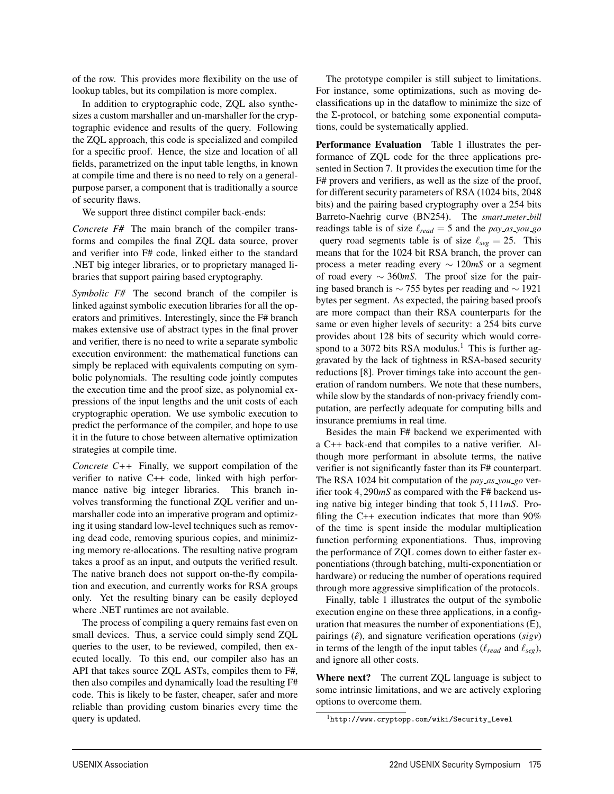of the row. This provides more flexibility on the use of lookup tables, but its compilation is more complex.

In addition to cryptographic code, ZQL also synthesizes a custom marshaller and un-marshaller for the cryptographic evidence and results of the query. Following the ZQL approach, this code is specialized and compiled for a specific proof. Hence, the size and location of all fields, parametrized on the input table lengths, in known at compile time and there is no need to rely on a generalpurpose parser, a component that is traditionally a source of security flaws.

We support three distinct compiler back-ends:

*Concrete F#* The main branch of the compiler transforms and compiles the final ZQL data source, prover and verifier into F# code, linked either to the standard .NET big integer libraries, or to proprietary managed libraries that support pairing based cryptography.

*Symbolic F#* The second branch of the compiler is linked against symbolic execution libraries for all the operators and primitives. Interestingly, since the F# branch makes extensive use of abstract types in the final prover and verifier, there is no need to write a separate symbolic execution environment: the mathematical functions can simply be replaced with equivalents computing on symbolic polynomials. The resulting code jointly computes the execution time and the proof size, as polynomial expressions of the input lengths and the unit costs of each cryptographic operation. We use symbolic execution to predict the performance of the compiler, and hope to use it in the future to chose between alternative optimization strategies at compile time.

*Concrete C++* Finally, we support compilation of the verifier to native C++ code, linked with high performance native big integer libraries. This branch involves transforming the functional ZQL verifier and unmarshaller code into an imperative program and optimizing it using standard low-level techniques such as removing dead code, removing spurious copies, and minimizing memory re-allocations. The resulting native program takes a proof as an input, and outputs the verified result. The native branch does not support on-the-fly compilation and execution, and currently works for RSA groups only. Yet the resulting binary can be easily deployed where .NET runtimes are not available.

The process of compiling a query remains fast even on small devices. Thus, a service could simply send ZQL queries to the user, to be reviewed, compiled, then executed locally. To this end, our compiler also has an API that takes source ZQL ASTs, compiles them to F#, then also compiles and dynamically load the resulting F# code. This is likely to be faster, cheaper, safer and more reliable than providing custom binaries every time the query is updated.

The prototype compiler is still subject to limitations. For instance, some optimizations, such as moving declassifications up in the dataflow to minimize the size of the Σ-protocol, or batching some exponential computations, could be systematically applied.

Performance Evaluation Table 1 illustrates the performance of ZQL code for the three applications presented in Section 7. It provides the execution time for the F# provers and verifiers, as well as the size of the proof, for different security parameters of RSA (1024 bits, 2048 bits) and the pairing based cryptography over a 254 bits Barreto-Naehrig curve (BN254). The *smart meter bill* readings table is of size  $\ell_{read} = 5$  and the *pay\_as\_you\_go* query road segments table is of size  $\ell_{seg} = 25$ . This means that for the 1024 bit RSA branch, the prover can process a meter reading every ∼ 120*mS* or a segment of road every ∼ 360*mS*. The proof size for the pairing based branch is ∼ 755 bytes per reading and ∼ 1921 bytes per segment. As expected, the pairing based proofs are more compact than their RSA counterparts for the same or even higher levels of security: a 254 bits curve provides about 128 bits of security which would correspond to a 3072 bits RSA modulus.<sup>1</sup> This is further aggravated by the lack of tightness in RSA-based security reductions [8]. Prover timings take into account the generation of random numbers. We note that these numbers, while slow by the standards of non-privacy friendly computation, are perfectly adequate for computing bills and insurance premiums in real time.

Besides the main F# backend we experimented with a C++ back-end that compiles to a native verifier. Although more performant in absolute terms, the native verifier is not significantly faster than its F# counterpart. The RSA 1024 bit computation of the *pay as you go* verifier took 4,290*mS* as compared with the F# backend using native big integer binding that took 5,111*mS*. Profiling the C++ execution indicates that more than 90% of the time is spent inside the modular multiplication function performing exponentiations. Thus, improving the performance of ZQL comes down to either faster exponentiations (through batching, multi-exponentiation or hardware) or reducing the number of operations required through more aggressive simplification of the protocols.

Finally, table 1 illustrates the output of the symbolic execution engine on these three applications, in a configuration that measures the number of exponentiations (E), pairings ( $\hat{e}$ ), and signature verification operations (*sigv*) in terms of the length of the input tables ( $\ell_{read}$  and  $\ell_{seg}$ ), and ignore all other costs.

Where next? The current ZQL language is subject to some intrinsic limitations, and we are actively exploring options to overcome them.

 $\overline{1}$ 

<sup>1</sup>http://www.cryptopp.com/wiki/Security\_Level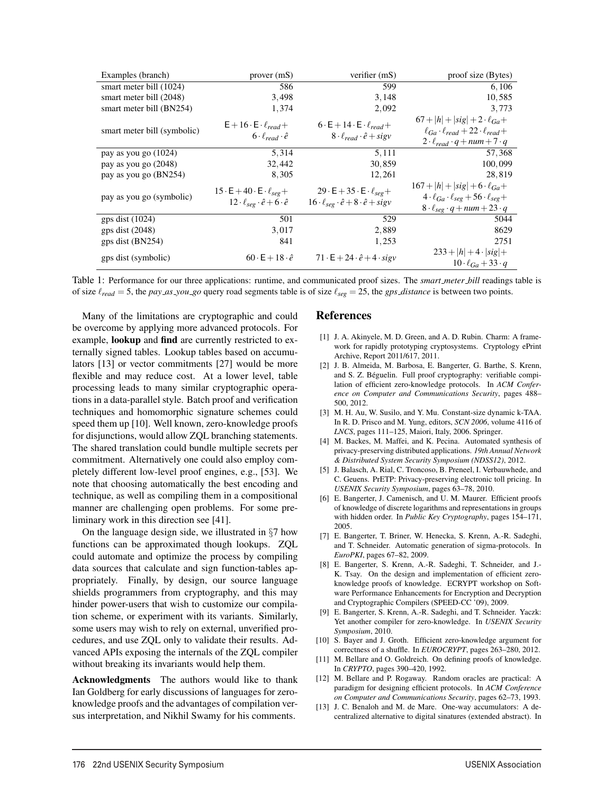| Examples (branch)           | prover(mS)                                            | verifier $(mS)$                                                            | proof size (Bytes)                                            |
|-----------------------------|-------------------------------------------------------|----------------------------------------------------------------------------|---------------------------------------------------------------|
| smart meter bill (1024)     | 586                                                   | 599                                                                        | 6,106                                                         |
| smart meter bill (2048)     | 3,498                                                 | 3,148                                                                      | 10,585                                                        |
| smart meter bill (BN254)    | 1,374                                                 | 2,092                                                                      | 3,773                                                         |
|                             | $E + 16 \cdot E \cdot \ell_{read} +$                  | $6 \cdot E + 14 \cdot E \cdot \ell_{read} +$                               | $67 +  h  +  sig  + 2 \cdot \ell_{Ga} +$                      |
| smart meter bill (symbolic) | $6 \cdot \ell_{read} \cdot \hat{e}$                   | $8 \cdot \ell_{read} \cdot \hat{e} + sigv$                                 | $\ell_{Ga} \cdot \ell_{read} + 22 \cdot \ell_{read} +$        |
|                             |                                                       |                                                                            | $2 \cdot \ell_{read} \cdot q + num + 7 \cdot q$               |
| pay as you go (1024)        | 5,314                                                 | 5,111                                                                      | 57,368                                                        |
| pay as you go $(2048)$      | 32,442                                                | 30,859                                                                     | 100,099                                                       |
| pay as you go (BN254)       | 8,305                                                 | 12,261                                                                     | 28,819                                                        |
|                             |                                                       | $29 \cdot E + 35 \cdot E \cdot \ell_{seg} +$                               | $167 +  h  +  sig  + 6 \cdot \ell_{Ga} +$                     |
| pay as you go (symbolic)    | $15 \cdot E + 40 \cdot E \cdot \ell_{\text{see} +}$   |                                                                            | $4 \cdot \ell_{Ga} \cdot \ell_{seg} + 56 \cdot \ell_{seg} +$  |
|                             | $12 \cdot \ell_{seg} \cdot \hat{e} + 6 \cdot \hat{e}$ | $16 \cdot \ell_{\text{see}} \cdot \hat{e} + 8 \cdot \hat{e} + \text{sigv}$ | $8 \cdot \ell_{\text{seg}} \cdot q + \text{num} + 23 \cdot q$ |
| gps dist $(1024)$           | 501                                                   | 529                                                                        | 5044                                                          |
| gps dist $(2048)$           | 3,017                                                 | 2,889                                                                      | 8629                                                          |
| gps dist $(BN254)$          | 841                                                   | 1,253                                                                      | 2751                                                          |
| gps dist (symbolic)         | $60 \cdot E + 18 \cdot \hat{e}$                       | $71 \cdot E + 24 \cdot \hat{e} + 4 \cdot \text{sigv}$                      | $233 +  h  + 4 \cdot  sig  +$                                 |
|                             |                                                       |                                                                            | $10 \cdot \ell_{Ga} + 33 \cdot q$                             |

Table 1: Performance for our three applications: runtime, and communicated proof sizes. The *smart meter bill* readings table is of size  $\ell_{read} = 5$ , the *pay\_as\_you\_go* query road segments table is of size  $\ell_{seg} = 25$ , the *gps\_distance* is between two points.

 $\overline{1}$ 

Many of the limitations are cryptographic and could be overcome by applying more advanced protocols. For example, lookup and find are currently restricted to externally signed tables. Lookup tables based on accumulators [13] or vector commitments [27] would be more flexible and may reduce cost. At a lower level, table processing leads to many similar cryptographic operations in a data-parallel style. Batch proof and verification techniques and homomorphic signature schemes could speed them up [10]. Well known, zero-knowledge proofs for disjunctions, would allow ZQL branching statements. The shared translation could bundle multiple secrets per commitment. Alternatively one could also employ completely different low-level proof engines, e.g., [53]. We note that choosing automatically the best encoding and technique, as well as compiling them in a compositional manner are challenging open problems. For some preliminary work in this direction see [41].

On the language design side, we illustrated in §7 how functions can be approximated though lookups. ZQL could automate and optimize the process by compiling data sources that calculate and sign function-tables appropriately. Finally, by design, our source language shields programmers from cryptography, and this may hinder power-users that wish to customize our compilation scheme, or experiment with its variants. Similarly, some users may wish to rely on external, unverified procedures, and use ZQL only to validate their results. Advanced APIs exposing the internals of the ZQL compiler without breaking its invariants would help them.

Acknowledgments The authors would like to thank Ian Goldberg for early discussions of languages for zeroknowledge proofs and the advantages of compilation versus interpretation, and Nikhil Swamy for his comments.

### References

- [1] J. A. Akinyele, M. D. Green, and A. D. Rubin. Charm: A framework for rapidly prototyping cryptosystems. Cryptology ePrint Archive, Report 2011/617, 2011.
- [2] J. B. Almeida, M. Barbosa, E. Bangerter, G. Barthe, S. Krenn, and S. Z. Béguelin. Full proof cryptography: verifiable compilation of efficient zero-knowledge protocols. In *ACM Conference on Computer and Communications Security*, pages 488– 500, 2012.
- [3] M. H. Au, W. Susilo, and Y. Mu. Constant-size dynamic k-TAA. In R. D. Prisco and M. Yung, editors, *SCN 2006*, volume 4116 of *LNCS*, pages 111–125, Maiori, Italy, 2006. Springer.
- [4] M. Backes, M. Maffei, and K. Pecina. Automated synthesis of privacy-preserving distributed applications. *19th Annual Network & Distributed System Security Symposium (NDSS12)*, 2012.
- [5] J. Balasch, A. Rial, C. Troncoso, B. Preneel, I. Verbauwhede, and C. Geuens. PrETP: Privacy-preserving electronic toll pricing. In *USENIX Security Symposium*, pages 63–78, 2010.
- [6] E. Bangerter, J. Camenisch, and U. M. Maurer. Efficient proofs of knowledge of discrete logarithms and representations in groups with hidden order. In *Public Key Cryptography*, pages 154–171, 2005.
- [7] E. Bangerter, T. Briner, W. Henecka, S. Krenn, A.-R. Sadeghi, and T. Schneider. Automatic generation of sigma-protocols. In *EuroPKI*, pages 67–82, 2009.
- [8] E. Bangerter, S. Krenn, A.-R. Sadeghi, T. Schneider, and J.- K. Tsay. On the design and implementation of efficient zeroknowledge proofs of knowledge. ECRYPT workshop on Software Performance Enhancements for Encryption and Decryption and Cryptographic Compilers (SPEED-CC '09), 2009.
- [9] E. Bangerter, S. Krenn, A.-R. Sadeghi, and T. Schneider. Yaczk: Yet another compiler for zero-knowledge. In *USENIX Security Symposium*, 2010.
- [10] S. Bayer and J. Groth. Efficient zero-knowledge argument for correctness of a shuffle. In *EUROCRYPT*, pages 263–280, 2012.
- [11] M. Bellare and O. Goldreich. On defining proofs of knowledge. In *CRYPTO*, pages 390–420, 1992.
- [12] M. Bellare and P. Rogaway. Random oracles are practical: A paradigm for designing efficient protocols. In *ACM Conference on Computer and Communications Security*, pages 62–73, 1993.
- [13] J. C. Benaloh and M. de Mare. One-way accumulators: A decentralized alternative to digital sinatures (extended abstract). In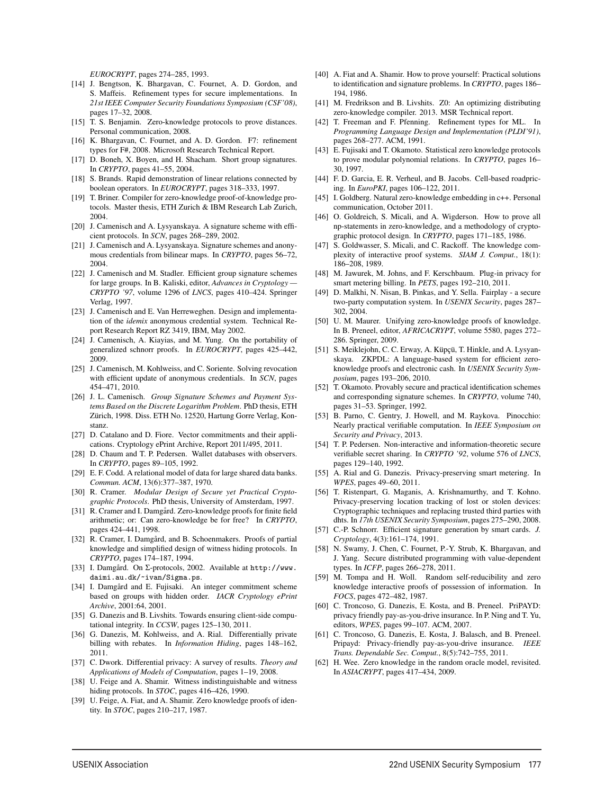*EUROCRYPT*, pages 274–285, 1993.

- [14] J. Bengtson, K. Bhargavan, C. Fournet, A. D. Gordon, and S. Maffeis. Refinement types for secure implementations. In *21st IEEE Computer Security Foundations Symposium (CSF'08)*, pages 17–32, 2008.
- [15] T. S. Benjamin. Zero-knowledge protocols to prove distances. Personal communication, 2008.
- [16] K. Bhargavan, C. Fournet, and A. D. Gordon. F7: refinement types for F#, 2008. Microsoft Research Technical Report.
- [17] D. Boneh, X. Boyen, and H. Shacham. Short group signatures. In *CRYPTO*, pages 41–55, 2004.
- [18] S. Brands. Rapid demonstration of linear relations connected by boolean operators. In *EUROCRYPT*, pages 318–333, 1997.
- [19] T. Briner. Compiler for zero-knowledge proof-of-knowledge protocols. Master thesis, ETH Zurich & IBM Research Lab Zurich, 2004.
- [20] J. Camenisch and A. Lysyanskaya. A signature scheme with efficient protocols. In *SCN*, pages 268–289, 2002.
- [21] J. Camenisch and A. Lysyanskaya. Signature schemes and anonymous credentials from bilinear maps. In *CRYPTO*, pages 56–72, 2004.
- [22] J. Camenisch and M. Stadler. Efficient group signature schemes for large groups. In B. Kaliski, editor, *Advances in Cryptology — CRYPTO '97*, volume 1296 of *LNCS*, pages 410–424. Springer Verlag, 1997.
- [23] J. Camenisch and E. Van Herreweghen. Design and implementation of the *idemix* anonymous credential system. Technical Report Research Report RZ 3419, IBM, May 2002.
- [24] J. Camenisch, A. Kiayias, and M. Yung. On the portability of generalized schnorr proofs. In *EUROCRYPT*, pages 425–442, 2009.
- [25] J. Camenisch, M. Kohlweiss, and C. Soriente. Solving revocation with efficient update of anonymous credentials. In *SCN*, pages 454–471, 2010.
- [26] J. L. Camenisch. *Group Signature Schemes and Payment Systems Based on the Discrete Logarithm Problem*. PhD thesis, ETH Zürich, 1998. Diss. ETH No. 12520, Hartung Gorre Verlag, Konstanz.
- [27] D. Catalano and D. Fiore. Vector commitments and their applications. Cryptology ePrint Archive, Report 2011/495, 2011.
- [28] D. Chaum and T. P. Pedersen. Wallet databases with observers. In *CRYPTO*, pages 89–105, 1992.
- [29] E. F. Codd. A relational model of data for large shared data banks. *Commun. ACM*, 13(6):377–387, 1970.
- [30] R. Cramer. *Modular Design of Secure yet Practical Cryptographic Protocols*. PhD thesis, University of Amsterdam, 1997.
- [31] R. Cramer and I. Damgård. Zero-knowledge proofs for finite field arithmetic; or: Can zero-knowledge be for free? In *CRYPTO*, pages 424–441, 1998.
- [32] R. Cramer, I. Damgård, and B. Schoenmakers. Proofs of partial knowledge and simplified design of witness hiding protocols. In *CRYPTO*, pages 174–187, 1994.
- [33] I. Damgård. On Σ-protocols, 2002. Available at http://www. daimi.au.dk/~ivan/Sigma.ps.
- [34] I. Damgård and E. Fujisaki. An integer commitment scheme based on groups with hidden order. *IACR Cryptology ePrint Archive*, 2001:64, 2001.
- [35] G. Danezis and B. Livshits. Towards ensuring client-side computational integrity. In *CCSW*, pages 125–130, 2011.
- [36] G. Danezis, M. Kohlweiss, and A. Rial. Differentially private billing with rebates. In *Information Hiding*, pages 148–162, 2011.
- [37] C. Dwork. Differential privacy: A survey of results. *Theory and Applications of Models of Computation*, pages 1–19, 2008.
- [38] U. Feige and A. Shamir. Witness indistinguishable and witness hiding protocols. In *STOC*, pages 416–426, 1990.
- [39] U. Feige, A. Fiat, and A. Shamir. Zero knowledge proofs of identity. In *STOC*, pages 210–217, 1987.
- [40] A. Fiat and A. Shamir. How to prove yourself: Practical solutions to identification and signature problems. In *CRYPTO*, pages 186– 194, 1986.
- [41] M. Fredrikson and B. Livshits. Z0: An optimizing distributing zero-knowledge compiler. 2013. MSR Technical report.
- [42] T. Freeman and F. Pfenning. Refinement types for ML. In *Programming Language Design and Implementation (PLDI'91)*, pages 268–277. ACM, 1991.
- [43] E. Fujisaki and T. Okamoto. Statistical zero knowledge protocols to prove modular polynomial relations. In *CRYPTO*, pages 16– 30, 1997.
- [44] F. D. Garcia, E. R. Verheul, and B. Jacobs. Cell-based roadpricing. In *EuroPKI*, pages 106–122, 2011.
- [45] I. Goldberg. Natural zero-knowledge embedding in c++. Personal communication, October 2011.
- [46] O. Goldreich, S. Micali, and A. Wigderson. How to prove all np-statements in zero-knowledge, and a methodology of cryptographic protocol design. In *CRYPTO*, pages 171–185, 1986.
- [47] S. Goldwasser, S. Micali, and C. Rackoff. The knowledge complexity of interactive proof systems. *SIAM J. Comput.*, 18(1): 186–208, 1989.
- [48] M. Jawurek, M. Johns, and F. Kerschbaum. Plug-in privacy for smart metering billing. In *PETS*, pages 192–210, 2011.
- [49] D. Malkhi, N. Nisan, B. Pinkas, and Y. Sella. Fairplay a secure two-party computation system. In *USENIX Security*, pages 287– 302, 2004.
- [50] U. M. Maurer. Unifying zero-knowledge proofs of knowledge. In B. Preneel, editor, *AFRICACRYPT*, volume 5580, pages 272– 286. Springer, 2009.
- [51] S. Meiklejohn, C. C. Erway, A. Küpcü, T. Hinkle, and A. Lysyanskaya. ZKPDL: A language-based system for efficient zeroknowledge proofs and electronic cash. In *USENIX Security Symposium*, pages 193–206, 2010.
- [52] T. Okamoto. Provably secure and practical identification schemes and corresponding signature schemes. In *CRYPTO*, volume 740, pages 31–53. Springer, 1992.
- [53] B. Parno, C. Gentry, J. Howell, and M. Raykova. Pinocchio: Nearly practical verifiable computation. In *IEEE Symposium on Security and Privacy*, 2013.
- [54] T. P. Pedersen. Non-interactive and information-theoretic secure verifiable secret sharing. In *CRYPTO '92*, volume 576 of *LNCS*, pages 129–140, 1992.
- [55] A. Rial and G. Danezis. Privacy-preserving smart metering. In *WPES*, pages 49–60, 2011.
- [56] T. Ristenpart, G. Maganis, A. Krishnamurthy, and T. Kohno. Privacy-preserving location tracking of lost or stolen devices: Cryptographic techniques and replacing trusted third parties with dhts. In *17th USENIX Security Symposium*, pages 275–290, 2008.
- [57] C.-P. Schnorr. Efficient signature generation by smart cards. *J. Cryptology*, 4(3):161–174, 1991.
- [58] N. Swamy, J. Chen, C. Fournet, P.-Y. Strub, K. Bhargavan, and J. Yang. Secure distributed programming with value-dependent types. In *ICFP*, pages 266–278, 2011.
- [59] M. Tompa and H. Woll. Random self-reducibility and zero knowledge interactive proofs of possession of information. In *FOCS*, pages 472–482, 1987.
- [60] C. Troncoso, G. Danezis, E. Kosta, and B. Preneel. PriPAYD: privacy friendly pay-as-you-drive insurance. In P. Ning and T. Yu, editors, *WPES*, pages 99–107. ACM, 2007.
- [61] C. Troncoso, G. Danezis, E. Kosta, J. Balasch, and B. Preneel. Pripayd: Privacy-friendly pay-as-you-drive insurance. *IEEE Trans. Dependable Sec. Comput.*, 8(5):742–755, 2011.
- [62] H. Wee. Zero knowledge in the random oracle model, revisited. In *ASIACRYPT*, pages 417–434, 2009.